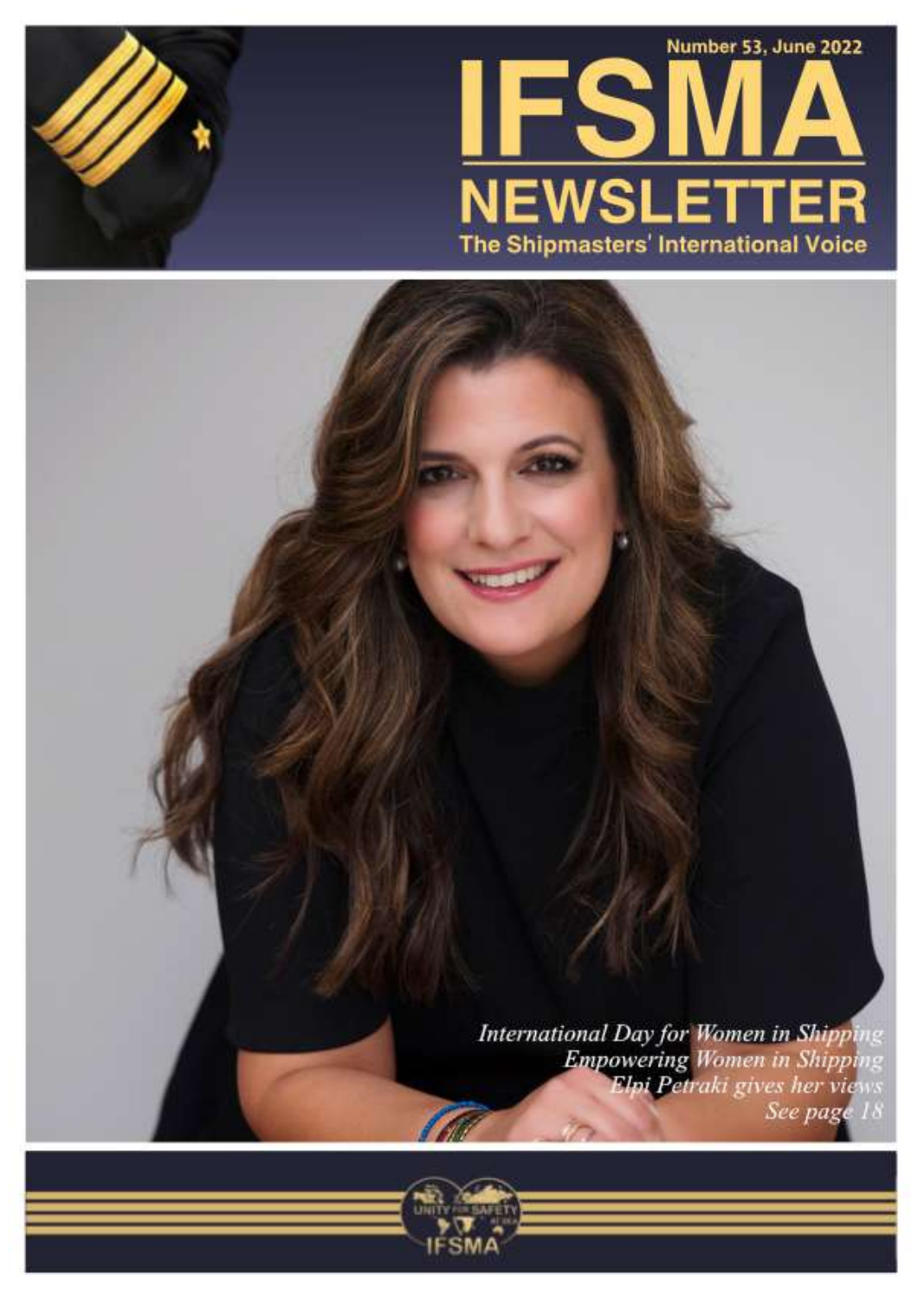

**International Day for Women in Shipping Empowering Women in Shipping**<br>**Elpi Petraki gives her views** See page 18



IFSMA Newsletter 53 1992 in the second control of the second control of the second control of the second control of the second control of the second control of the second control of the second control of the second control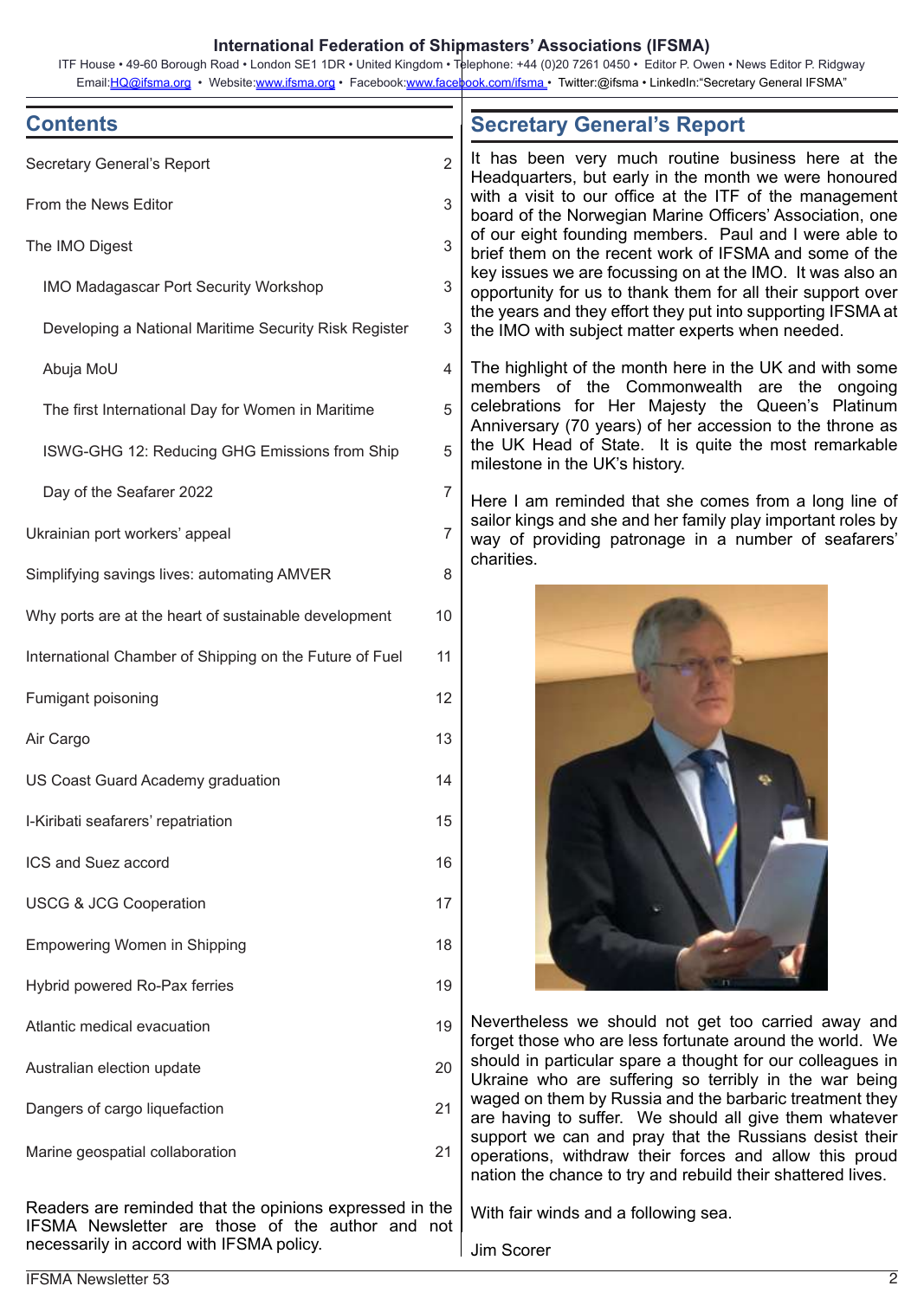#### **International Federation of Shipmasters' Associations (IFSMA)**

ITF House • 49-60 Borough Road • London SE1 1DR • United Kingdom • Telephone: +44 (0)20 7261 0450 • Editor P. Owen • News Editor P. Ridgway Email:*HQ@ifsma.org* • Website:www.ifsma.org • Facebook:www.facebook.com/ifsma · Twitter:@ifsma · LinkedIn:"Secretary General IFSMA"

| <b>Contents</b>                                         |                | <b>Secretary General's Report</b>                                                                                                                                                                                                                                                                                                                                                                                                                                                                                                                                                                     |
|---------------------------------------------------------|----------------|-------------------------------------------------------------------------------------------------------------------------------------------------------------------------------------------------------------------------------------------------------------------------------------------------------------------------------------------------------------------------------------------------------------------------------------------------------------------------------------------------------------------------------------------------------------------------------------------------------|
| Secretary General's Report                              | $\overline{2}$ | It has been very much routine business here at the<br>Headquarters, but early in the month we were honoured<br>with a visit to our office at the ITF of the management<br>board of the Norwegian Marine Officers' Association, one<br>of our eight founding members. Paul and I were able to<br>brief them on the recent work of IFSMA and some of the<br>key issues we are focussing on at the IMO. It was also an<br>opportunity for us to thank them for all their support over<br>the years and they effort they put into supporting IFSMA at<br>the IMO with subject matter experts when needed. |
| From the News Editor                                    | 3              |                                                                                                                                                                                                                                                                                                                                                                                                                                                                                                                                                                                                       |
| The IMO Digest                                          | 3              |                                                                                                                                                                                                                                                                                                                                                                                                                                                                                                                                                                                                       |
| <b>IMO Madagascar Port Security Workshop</b>            | 3              |                                                                                                                                                                                                                                                                                                                                                                                                                                                                                                                                                                                                       |
| Developing a National Maritime Security Risk Register   | 3              |                                                                                                                                                                                                                                                                                                                                                                                                                                                                                                                                                                                                       |
| Abuja MoU                                               | 4              | The highlight of the month here in the UK and with some<br>members of the Commonwealth are the ongoing<br>celebrations for Her Majesty the Queen's Platinum<br>Anniversary (70 years) of her accession to the throne as<br>the UK Head of State. It is quite the most remarkable<br>milestone in the UK's history.                                                                                                                                                                                                                                                                                    |
| The first International Day for Women in Maritime       | 5              |                                                                                                                                                                                                                                                                                                                                                                                                                                                                                                                                                                                                       |
| ISWG-GHG 12: Reducing GHG Emissions from Ship           | 5              |                                                                                                                                                                                                                                                                                                                                                                                                                                                                                                                                                                                                       |
| Day of the Seafarer 2022                                | 7              | Here I am reminded that she comes from a long line of<br>sailor kings and she and her family play important roles by<br>way of providing patronage in a number of seafarers'<br>charities.                                                                                                                                                                                                                                                                                                                                                                                                            |
| Ukrainian port workers' appeal                          | 7              |                                                                                                                                                                                                                                                                                                                                                                                                                                                                                                                                                                                                       |
| Simplifying savings lives: automating AMVER             | 8              |                                                                                                                                                                                                                                                                                                                                                                                                                                                                                                                                                                                                       |
| Why ports are at the heart of sustainable development   | 10             |                                                                                                                                                                                                                                                                                                                                                                                                                                                                                                                                                                                                       |
| International Chamber of Shipping on the Future of Fuel | 11             |                                                                                                                                                                                                                                                                                                                                                                                                                                                                                                                                                                                                       |
| Fumigant poisoning                                      | 12             |                                                                                                                                                                                                                                                                                                                                                                                                                                                                                                                                                                                                       |
| Air Cargo                                               | 13             |                                                                                                                                                                                                                                                                                                                                                                                                                                                                                                                                                                                                       |
| US Coast Guard Academy graduation                       | 14             |                                                                                                                                                                                                                                                                                                                                                                                                                                                                                                                                                                                                       |
| I-Kiribati seafarers' repatriation                      | 15             |                                                                                                                                                                                                                                                                                                                                                                                                                                                                                                                                                                                                       |
| ICS and Suez accord                                     | 16             |                                                                                                                                                                                                                                                                                                                                                                                                                                                                                                                                                                                                       |
| <b>USCG &amp; JCG Cooperation</b>                       | 17             |                                                                                                                                                                                                                                                                                                                                                                                                                                                                                                                                                                                                       |
| <b>Empowering Women in Shipping</b>                     | 18             |                                                                                                                                                                                                                                                                                                                                                                                                                                                                                                                                                                                                       |
| Hybrid powered Ro-Pax ferries                           | 19             |                                                                                                                                                                                                                                                                                                                                                                                                                                                                                                                                                                                                       |
| Atlantic medical evacuation                             | 19             | Nevertheless we should not get too carried away and<br>forget those who are less fortunate around the world. We<br>should in particular spare a thought for our colleagues in<br>Ukraine who are suffering so terribly in the war being<br>waged on them by Russia and the barbaric treatment they<br>are having to suffer. We should all give them whatever<br>support we can and pray that the Russians desist their<br>operations, withdraw their forces and allow this proud<br>nation the chance to try and rebuild their shattered lives.                                                       |
| Australian election update                              | 20             |                                                                                                                                                                                                                                                                                                                                                                                                                                                                                                                                                                                                       |
| Dangers of cargo liquefaction                           | 21             |                                                                                                                                                                                                                                                                                                                                                                                                                                                                                                                                                                                                       |
| Marine geospatial collaboration                         | 21             |                                                                                                                                                                                                                                                                                                                                                                                                                                                                                                                                                                                                       |
| Readers are reminded that the opinions expressed in the |                | With fair winds and a following sea                                                                                                                                                                                                                                                                                                                                                                                                                                                                                                                                                                   |

IFSMA Newsletter are those of the author and not necessarily in accord with IFSMA policy.

Jim Scorer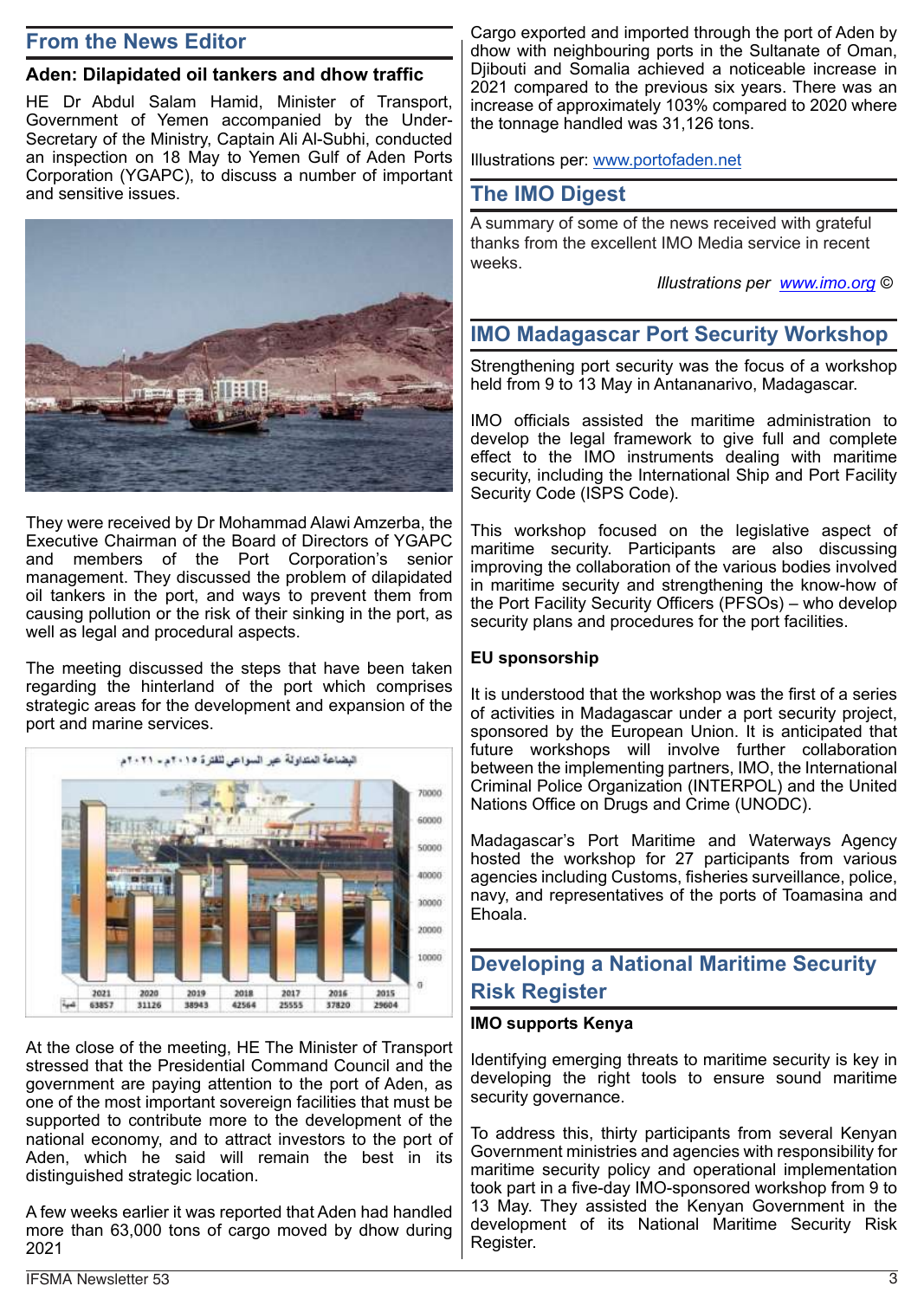# **From the News Editor**

## **Aden: Dilapidated oil tankers and dhow traffic**

HE Dr Abdul Salam Hamid, Minister of Transport, Government of Yemen accompanied by the Under-Secretary of the Ministry, Captain Ali Al-Subhi, conducted an inspection on 18 May to Yemen Gulf of Aden Ports Corporation (YGAPC), to discuss a number of important and sensitive issues.



They were received by Dr Mohammad Alawi Amzerba, the Executive Chairman of the Board of Directors of YGAPC and members of the Port Corporation's senior management. They discussed the problem of dilapidated oil tankers in the port, and ways to prevent them from causing pollution or the risk of their sinking in the port, as well as legal and procedural aspects.

The meeting discussed the steps that have been taken regarding the hinterland of the port which comprises strategic areas for the development and expansion of the port and marine services.



At the close of the meeting, HE The Minister of Transport stressed that the Presidential Command Council and the government are paying attention to the port of Aden, as one of the most important sovereign facilities that must be supported to contribute more to the development of the national economy, and to attract investors to the port of Aden, which he said will remain the best in its distinguished strategic location.

A few weeks earlier it was reported that Aden had handled more than 63,000 tons of cargo moved by dhow during 2021

Cargo exported and imported through the port of Aden by dhow with neighbouring ports in the Sultanate of Oman, Djibouti and Somalia achieved a noticeable increase in 2021 compared to the previous six years. There was an increase of approximately 103% compared to 2020 where the tonnage handled was 31,126 tons.

Illustrations per: www.portofaden.net

# **The IMO Digest**

A summary of some of the news received with grateful thanks from the excellent IMO Media service in recent weeks.

*Illustrations per www.imo.org ©*

# **IMO Madagascar Port Security Workshop**

Strengthening port security was the focus of a workshop held from 9 to 13 May in Antananarivo, Madagascar.

IMO officials assisted the maritime administration to develop the legal framework to give full and complete effect to the IMO instruments dealing with maritime security, including the International Ship and Port Facility Security Code (ISPS Code).

This workshop focused on the legislative aspect of maritime security. Participants are also discussing improving the collaboration of the various bodies involved in maritime security and strengthening the know-how of the Port Facility Security Officers (PFSOs) – who develop security plans and procedures for the port facilities.

#### **EU sponsorship**

It is understood that the workshop was the first of a series of activities in Madagascar under a port security project, sponsored by the European Union. It is anticipated that future workshops will involve further collaboration between the implementing partners, IMO, the International Criminal Police Organization (INTERPOL) and the United Nations Office on Drugs and Crime (UNODC).

Madagascar's Port Maritime and Waterways Agency hosted the workshop for 27 participants from various agencies including Customs, fisheries surveillance, police, navy, and representatives of the ports of Toamasina and Ehoala.

# **Developing a National Maritime Security Risk Register**

#### **IMO supports Kenya**

Identifying emerging threats to maritime security is key in developing the right tools to ensure sound maritime security governance.

To address this, thirty participants from several Kenyan Government ministries and agencies with responsibility for maritime security policy and operational implementation took part in a five-day IMO-sponsored workshop from 9 to 13 May. They assisted the Kenyan Government in the development of its National Maritime Security Risk Register.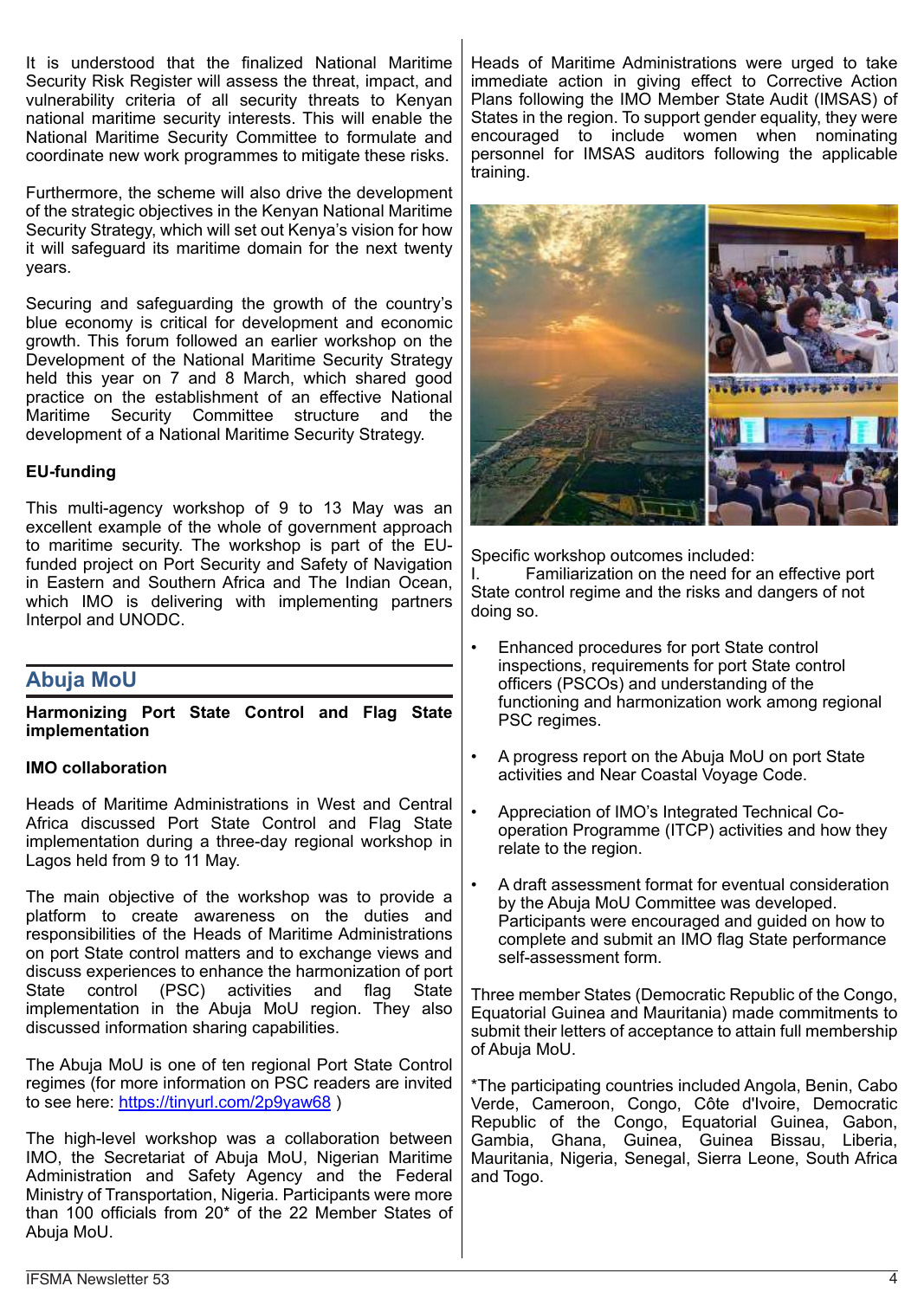It is understood that the finalized National Maritime Security Risk Register will assess the threat, impact, and vulnerability criteria of all security threats to Kenyan national maritime security interests. This will enable the National Maritime Security Committee to formulate and coordinate new work programmes to mitigate these risks.

Furthermore, the scheme will also drive the development of the strategic objectives in the Kenyan National Maritime Security Strategy, which will set out Kenya's vision for how it will safeguard its maritime domain for the next twenty years.

Securing and safeguarding the growth of the country's blue economy is critical for development and economic growth. This forum followed an earlier workshop on the Development of the National Maritime Security Strategy held this year on 7 and 8 March, which shared good practice on the establishment of an effective National Maritime Security Committee structure development of a National Maritime Security Strategy.

## **EU-funding**

This multi-agency workshop of 9 to 13 May was an excellent example of the whole of government approach to maritime security. The workshop is part of the EUfunded project on Port Security and Safety of Navigation in Eastern and Southern Africa and The Indian Ocean, which IMO is delivering with implementing partners Interpol and UNODC.

# **Abuja MoU**

**Harmonizing Port State Control and Flag State implementation**

#### **IMO collaboration**

Heads of Maritime Administrations in West and Central Africa discussed Port State Control and Flag State implementation during a three-day regional workshop in Lagos held from 9 to 11 May.

The main objective of the workshop was to provide a platform to create awareness on the duties and responsibilities of the Heads of Maritime Administrations on port State control matters and to exchange views and discuss experiences to enhance the harmonization of port State control (PSC) activities and flag State implementation in the Abuja MoU region. They also discussed information sharing capabilities.

The Abuja MoU is one of ten regional Port State Control regimes (for more information on PSC readers are invited to see here: https://tinyurl.com/2p9yaw68 )

The high-level workshop was a collaboration between IMO, the Secretariat of Abuja MoU, Nigerian Maritime Administration and Safety Agency and the Federal Ministry of Transportation, Nigeria. Participants were more than 100 officials from 20\* of the 22 Member States of Abuja MoU.

Heads of Maritime Administrations were urged to take immediate action in giving effect to Corrective Action Plans following the IMO Member State Audit (IMSAS) of States in the region. To support gender equality, they were encouraged to include women when nominating personnel for IMSAS auditors following the applicable training.



Specific workshop outcomes included:<br>I. Familiarization on the need for

Familiarization on the need for an effective port State control regime and the risks and dangers of not doing so.

- Enhanced procedures for port State control inspections, requirements for port State control officers (PSCOs) and understanding of the functioning and harmonization work among regional PSC regimes.
- A progress report on the Abuja MoU on port State activities and Near Coastal Voyage Code.
- Appreciation of IMO's Integrated Technical Cooperation Programme (ITCP) activities and how they relate to the region.
- A draft assessment format for eventual consideration by the Abuja MoU Committee was developed. Participants were encouraged and guided on how to complete and submit an IMO flag State performance self-assessment form.

Three member States (Democratic Republic of the Congo, Equatorial Guinea and Mauritania) made commitments to submit their letters of acceptance to attain full membership of Abuja MoU.

\*The participating countries included Angola, Benin, Cabo Verde, Cameroon, Congo, Côte d'Ivoire, Democratic Republic of the Congo, Equatorial Guinea, Gabon, Gambia, Ghana, Guinea, Guinea Bissau, Liberia, Mauritania, Nigeria, Senegal, Sierra Leone, South Africa and Togo.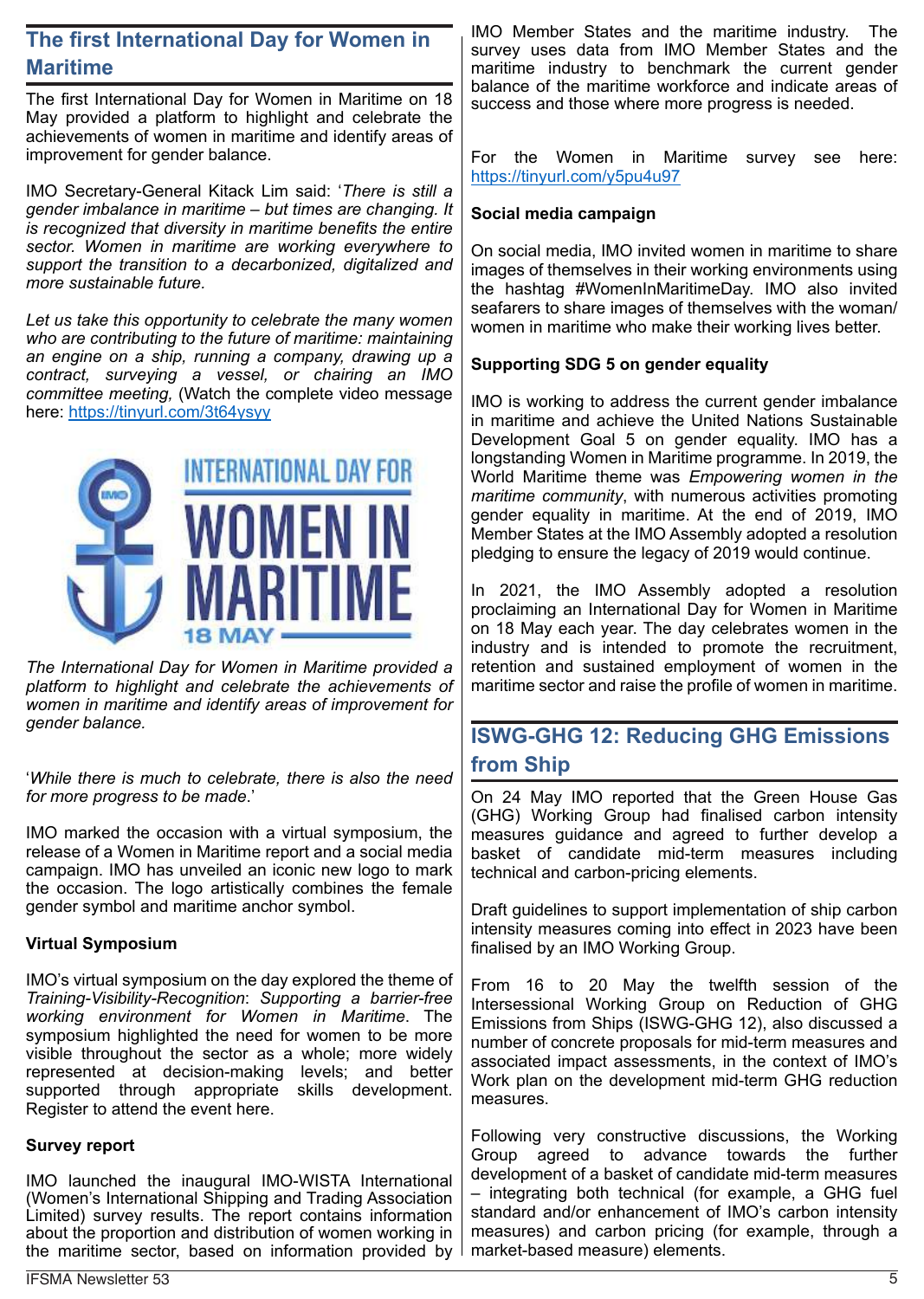# **The first International Day for Women in Maritime**

The first International Day for Women in Maritime on 18 May provided a platform to highlight and celebrate the achievements of women in maritime and identify areas of improvement for gender balance.

IMO Secretary-General Kitack Lim said: '*There is still a gender imbalance in maritime – but times are changing. It is recognized that diversity in maritime benefits the entire sector. Women in maritime are working everywhere to support the transition to a decarbonized, digitalized and more sustainable future.*

*Let us take this opportunity to celebrate the many women who are contributing to the future of maritime: maintaining an engine on a ship, running a company, drawing up a contract, surveying a vessel, or chairing an IMO committee meeting,* (Watch the complete video message here: https://tinyurl.com/3t64ysyy



*The International Day for Women in Maritime provided a platform to highlight and celebrate the achievements of women in maritime and identify areas of improvement for gender balance.*

'*While there is much to celebrate, there is also the need for more progress to be made*.'

IMO marked the occasion with a virtual symposium, the release of a Women in Maritime report and a social media campaign. IMO has unveiled an iconic new logo to mark the occasion. The logo artistically combines the female gender symbol and maritime anchor symbol.

## **Virtual Symposium**

IMO's virtual symposium on the day explored the theme of *Training-Visibility-Recognition*: *Supporting a barrier-free working environment for Women in Maritime*. The symposium highlighted the need for women to be more visible throughout the sector as a whole; more widely represented at decision-making levels; and better supported through appropriate skills development. Register to attend the event here.

#### **Survey report**

IMO launched the inaugural IMO-WISTA International (Women's International Shipping and Trading Association Limited) survey results. The report contains information about the proportion and distribution of women working in the maritime sector, based on information provided by

IMO Member States and the maritime industry. The survey uses data from IMO Member States and the maritime industry to benchmark the current gender balance of the maritime workforce and indicate areas of success and those where more progress is needed.

For the Women in Maritime survey see here: https://tinyurl.com/y5pu4u97

## **Social media campaign**

On social media, IMO invited women in maritime to share images of themselves in their working environments using the hashtag #WomenInMaritimeDay. IMO also invited seafarers to share images of themselves with the woman/ women in maritime who make their working lives better.

## **Supporting SDG 5 on gender equality**

IMO is working to address the current gender imbalance in maritime and achieve the United Nations Sustainable Development Goal 5 on gender equality. IMO has a longstanding Women in Maritime programme. In 2019, the World Maritime theme was *Empowering women in the maritime community*, with numerous activities promoting gender equality in maritime. At the end of 2019, IMO Member States at the IMO Assembly adopted a resolution pledging to ensure the legacy of 2019 would continue.

In 2021, the IMO Assembly adopted a resolution proclaiming an International Day for Women in Maritime on 18 May each year. The day celebrates women in the industry and is intended to promote the recruitment, retention and sustained employment of women in the maritime sector and raise the profile of women in maritime.

# **ISWG-GHG 12: Reducing GHG Emissions from Ship**

On 24 May IMO reported that the Green House Gas (GHG) Working Group had finalised carbon intensity measures guidance and agreed to further develop a basket of candidate mid-term measures including technical and carbon-pricing elements.

Draft guidelines to support implementation of ship carbon intensity measures coming into effect in 2023 have been finalised by an IMO Working Group.

From 16 to 20 May the twelfth session of the Intersessional Working Group on Reduction of GHG Emissions from Ships (ISWG-GHG 12), also discussed a number of concrete proposals for mid-term measures and associated impact assessments, in the context of IMO's Work plan on the development mid-term GHG reduction measures.

Following very constructive discussions, the Working Group agreed to advance towards the further development of a basket of candidate mid-term measures – integrating both technical (for example, a GHG fuel standard and/or enhancement of IMO's carbon intensity measures) and carbon pricing (for example, through a market-based measure) elements.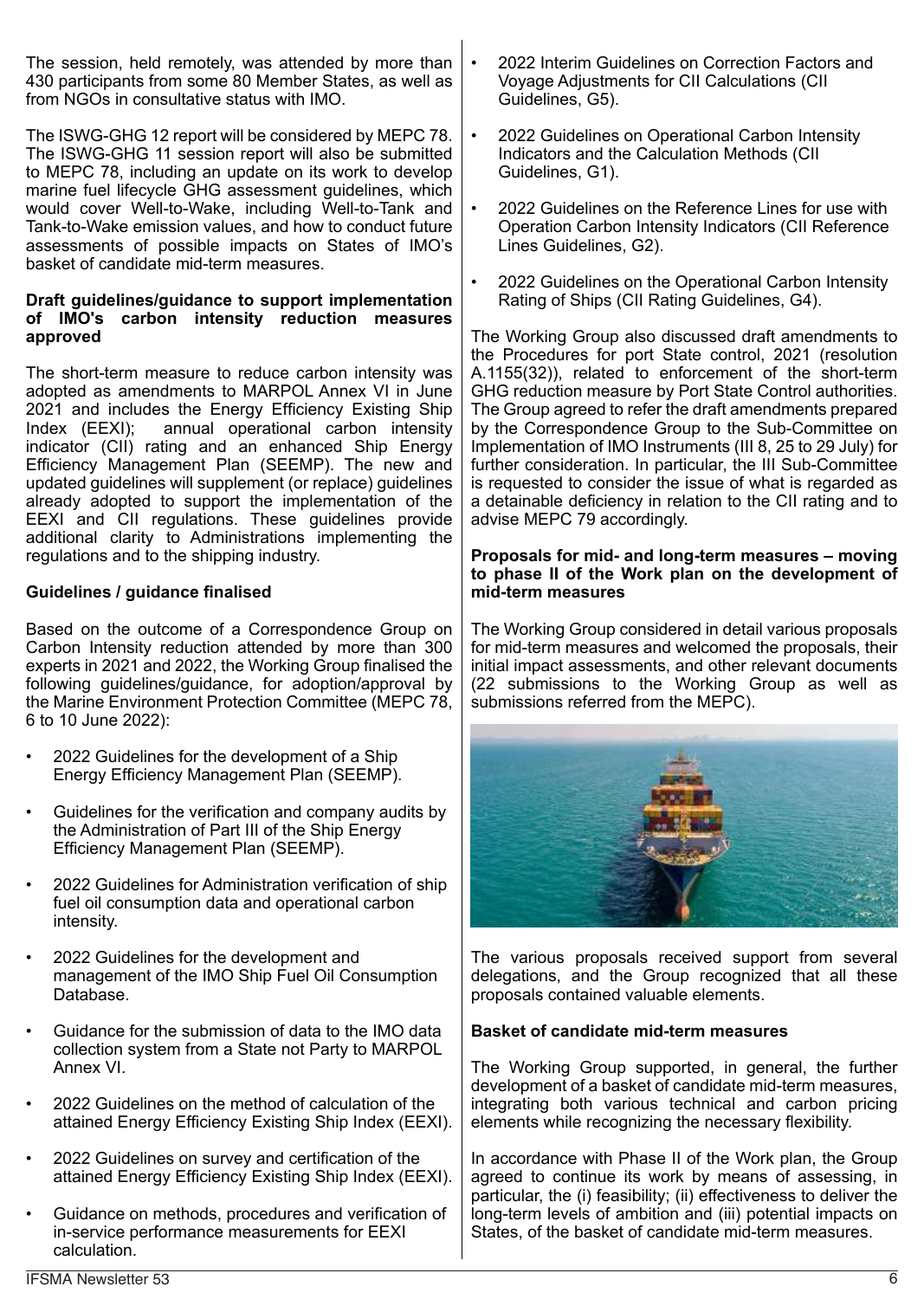The session, held remotely, was attended by more than 430 participants from some 80 Member States, as well as from NGOs in consultative status with IMO.

The ISWG-GHG 12 report will be considered by MEPC 78. The ISWG-GHG 11 session report will also be submitted to MEPC 78, including an update on its work to develop marine fuel lifecycle GHG assessment guidelines, which would cover Well-to-Wake, including Well-to-Tank and Tank-to-Wake emission values, and how to conduct future assessments of possible impacts on States of IMO's basket of candidate mid-term measures.

#### **Draft guidelines/guidance to support implementation of IMO's carbon intensity reduction measures approved**

The short-term measure to reduce carbon intensity was adopted as amendments to MARPOL Annex VI in June 2021 and includes the Energy Efficiency Existing Ship<br>Index (EEXI); annual operational carbon intensity annual operational carbon intensity indicator (CII) rating and an enhanced Ship Energy Efficiency Management Plan (SEEMP). The new and updated guidelines will supplement (or replace) guidelines already adopted to support the implementation of the EEXI and CII regulations. These guidelines provide additional clarity to Administrations implementing the regulations and to the shipping industry.

## **Guidelines / guidance finalised**

Based on the outcome of a Correspondence Group on Carbon Intensity reduction attended by more than 300 experts in 2021 and 2022, the Working Group finalised the following guidelines/guidance, for adoption/approval by the Marine Environment Protection Committee (MEPC 78, 6 to 10 June 2022):

- 2022 Guidelines for the development of a Ship Energy Efficiency Management Plan (SEEMP).
- Guidelines for the verification and company audits by the Administration of Part III of the Ship Energy Efficiency Management Plan (SEEMP).
- 2022 Guidelines for Administration verification of ship fuel oil consumption data and operational carbon intensity.
- 2022 Guidelines for the development and management of the IMO Ship Fuel Oil Consumption Database.
- Guidance for the submission of data to the IMO data collection system from a State not Party to MARPOL Annex VI.
- 2022 Guidelines on the method of calculation of the attained Energy Efficiency Existing Ship Index (EEXI).
- 2022 Guidelines on survey and certification of the attained Energy Efficiency Existing Ship Index (EEXI).
- Guidance on methods, procedures and verification of in-service performance measurements for EEXI calculation.
- 2022 Interim Guidelines on Correction Factors and Voyage Adjustments for CII Calculations (CII Guidelines, G5).
- 2022 Guidelines on Operational Carbon Intensity Indicators and the Calculation Methods (CII Guidelines, G1).
- 2022 Guidelines on the Reference Lines for use with Operation Carbon Intensity Indicators (CII Reference Lines Guidelines, G2).
- 2022 Guidelines on the Operational Carbon Intensity Rating of Ships (CII Rating Guidelines, G4).

The Working Group also discussed draft amendments to the Procedures for port State control, 2021 (resolution A.1155(32)), related to enforcement of the short-term GHG reduction measure by Port State Control authorities. The Group agreed to refer the draft amendments prepared by the Correspondence Group to the Sub-Committee on Implementation of IMO Instruments (III 8, 25 to 29 July) for further consideration. In particular, the III Sub-Committee is requested to consider the issue of what is regarded as a detainable deficiency in relation to the CII rating and to advise MEPC 79 accordingly.

#### **Proposals for mid- and long-term measures – moving to phase II of the Work plan on the development of mid-term measures**

The Working Group considered in detail various proposals for mid-term measures and welcomed the proposals, their initial impact assessments, and other relevant documents (22 submissions to the Working Group as well as submissions referred from the MEPC).



The various proposals received support from several delegations, and the Group recognized that all these proposals contained valuable elements.

#### **Basket of candidate mid-term measures**

The Working Group supported, in general, the further development of a basket of candidate mid-term measures, integrating both various technical and carbon pricing elements while recognizing the necessary flexibility.

In accordance with Phase II of the Work plan, the Group agreed to continue its work by means of assessing, in particular, the (i) feasibility; (ii) effectiveness to deliver the long-term levels of ambition and (iii) potential impacts on States, of the basket of candidate mid-term measures.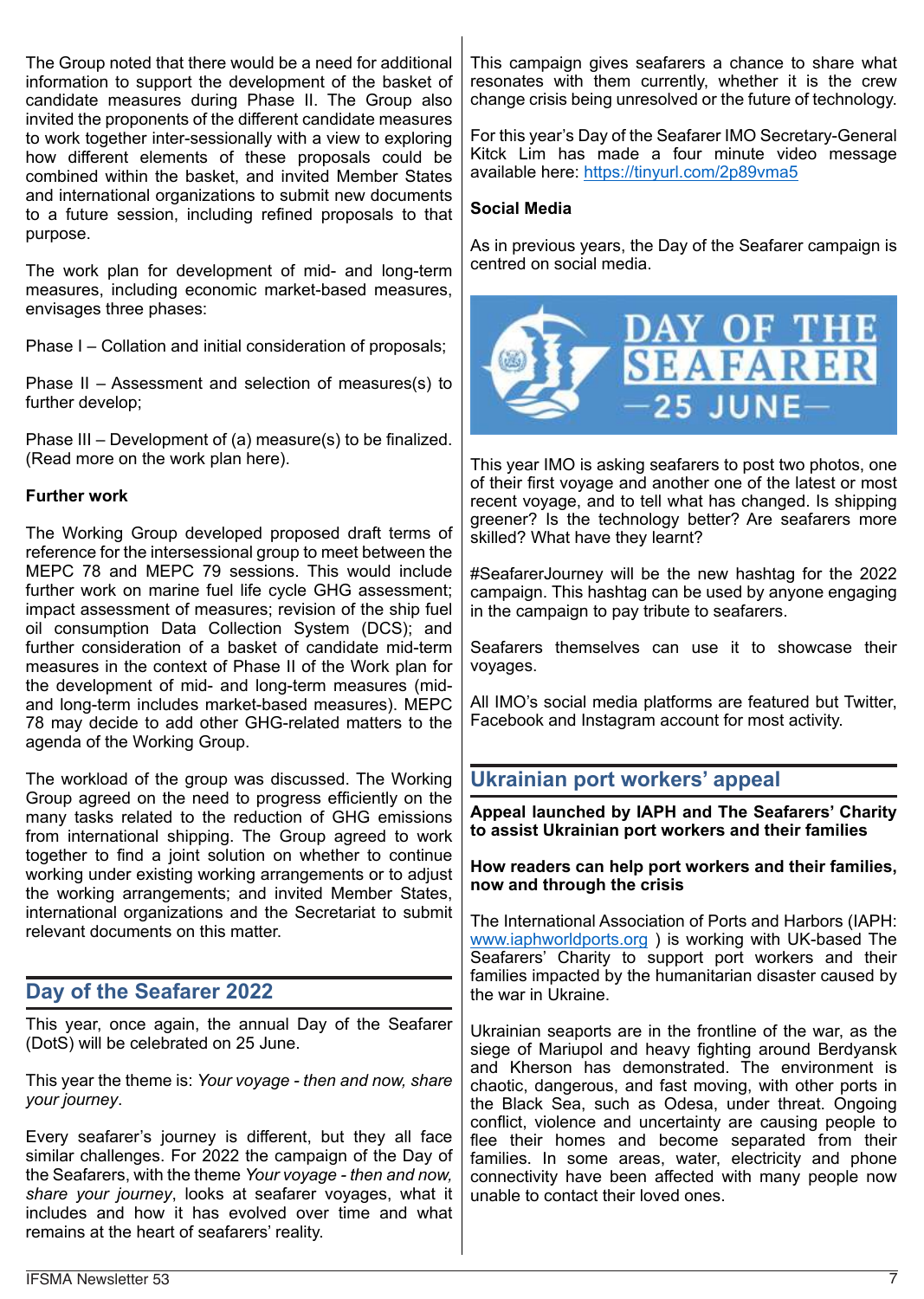The Group noted that there would be a need for additional information to support the development of the basket of candidate measures during Phase II. The Group also invited the proponents of the different candidate measures to work together inter-sessionally with a view to exploring how different elements of these proposals could be combined within the basket, and invited Member States and international organizations to submit new documents to a future session, including refined proposals to that purpose.

The work plan for development of mid- and long-term measures, including economic market-based measures, envisages three phases:

Phase I – Collation and initial consideration of proposals;

Phase II – Assessment and selection of measures(s) to further develop;

Phase III – Development of (a) measure(s) to be finalized. (Read more on the work plan here).

#### **Further work**

The Working Group developed proposed draft terms of reference for the intersessional group to meet between the MEPC 78 and MEPC 79 sessions. This would include further work on marine fuel life cycle GHG assessment; impact assessment of measures; revision of the ship fuel oil consumption Data Collection System (DCS); and further consideration of a basket of candidate mid-term measures in the context of Phase II of the Work plan for the development of mid- and long-term measures (midand long-term includes market-based measures). MEPC 78 may decide to add other GHG-related matters to the agenda of the Working Group.

The workload of the group was discussed. The Working Group agreed on the need to progress efficiently on the many tasks related to the reduction of GHG emissions from international shipping. The Group agreed to work together to find a joint solution on whether to continue working under existing working arrangements or to adjust the working arrangements; and invited Member States, international organizations and the Secretariat to submit relevant documents on this matter.

# **Day of the Seafarer 2022**

This year, once again, the annual Day of the Seafarer (DotS) will be celebrated on 25 June.

This year the theme is: *Your voyage - then and now, share your journey*.

Every seafarer's journey is different, but they all face similar challenges. For 2022 the campaign of the Day of the Seafarers, with the theme *Your voyage - then and now, share your journey*, looks at seafarer voyages, what it includes and how it has evolved over time and what remains at the heart of seafarers' reality.

This campaign gives seafarers a chance to share what resonates with them currently, whether it is the crew change crisis being unresolved or the future of technology.

For this year's Day of the Seafarer IMO Secretary-General Kitck Lim has made a four minute video message available here: https://tinyurl.com/2p89vma5

#### **Social Media**

As in previous years, the Day of the Seafarer campaign is centred on social media.



This year IMO is asking seafarers to post two photos, one of their first voyage and another one of the latest or most recent voyage, and to tell what has changed. Is shipping greener? Is the technology better? Are seafarers more skilled? What have they learnt?

#SeafarerJourney will be the new hashtag for the 2022 campaign. This hashtag can be used by anyone engaging in the campaign to pay tribute to seafarers.

Seafarers themselves can use it to showcase their voyages.

All IMO's social media platforms are featured but Twitter, Facebook and Instagram account for most activity.

# **Ukrainian port workers' appeal**

**Appeal launched by IAPH and The Seafarers' Charity to assist Ukrainian port workers and their families**

#### **How readers can help port workers and their families, now and through the crisis**

The International Association of Ports and Harbors (IAPH: www.iaphworldports.org ) is working with UK-based The Seafarers' Charity to support port workers and their families impacted by the humanitarian disaster caused by the war in Ukraine.

Ukrainian seaports are in the frontline of the war, as the siege of Mariupol and heavy fighting around Berdyansk and Kherson has demonstrated. The environment is chaotic, dangerous, and fast moving, with other ports in the Black Sea, such as Odesa, under threat. Ongoing conflict, violence and uncertainty are causing people to flee their homes and become separated from their families. In some areas, water, electricity and phone connectivity have been affected with many people now unable to contact their loved ones.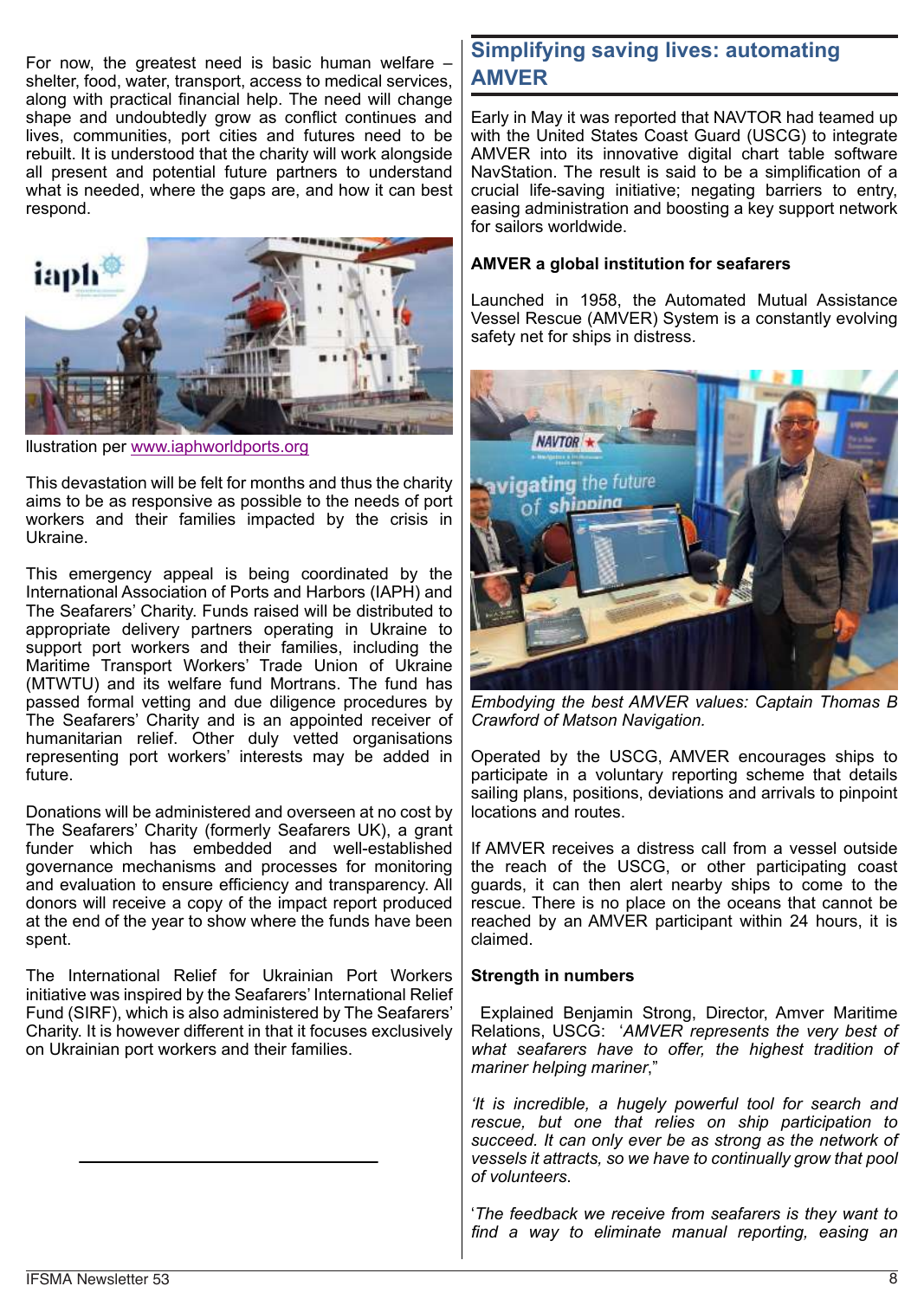For now, the greatest need is basic human welfare – shelter, food, water, transport, access to medical services, along with practical financial help. The need will change shape and undoubtedly grow as conflict continues and lives, communities, port cities and futures need to be rebuilt. It is understood that the charity will work alongside all present and potential future partners to understand what is needed, where the gaps are, and how it can best respond.



llustration per www.iaphworldports.org

This devastation will be felt for months and thus the charity aims to be as responsive as possible to the needs of port workers and their families impacted by the crisis in Ukraine.

This emergency appeal is being coordinated by the International Association of Ports and Harbors (IAPH) and The Seafarers' Charity. Funds raised will be distributed to appropriate delivery partners operating in Ukraine to support port workers and their families, including the Maritime Transport Workers' Trade Union of Ukraine (MTWTU) and its welfare fund Mortrans. The fund has passed formal vetting and due diligence procedures by The Seafarers' Charity and is an appointed receiver of humanitarian relief. Other duly vetted organisations representing port workers' interests may be added in future.

Donations will be administered and overseen at no cost by The Seafarers' Charity (formerly Seafarers UK), a grant funder which has embedded and well-established governance mechanisms and processes for monitoring and evaluation to ensure efficiency and transparency. All donors will receive a copy of the impact report produced at the end of the year to show where the funds have been spent.

The International Relief for Ukrainian Port Workers initiative was inspired by the Seafarers' International Relief Fund (SIRF), which is also administered by The Seafarers' Charity. It is however different in that it focuses exclusively on Ukrainian port workers and their families.

# **Simplifying saving lives: automating AMVER**

Early in May it was reported that NAVTOR had teamed up with the United States Coast Guard (USCG) to integrate AMVER into its innovative digital chart table software NavStation. The result is said to be a simplification of a crucial life-saving initiative; negating barriers to entry, easing administration and boosting a key support network for sailors worldwide.

#### **AMVER a global institution for seafarers**

Launched in 1958, the Automated Mutual Assistance Vessel Rescue (AMVER) System is a constantly evolving safety net for ships in distress.



*Embodying the best AMVER values: Captain Thomas B Crawford of Matson Navigation.*

Operated by the USCG, AMVER encourages ships to participate in a voluntary reporting scheme that details sailing plans, positions, deviations and arrivals to pinpoint locations and routes.

If AMVER receives a distress call from a vessel outside the reach of the USCG, or other participating coast guards, it can then alert nearby ships to come to the rescue. There is no place on the oceans that cannot be reached by an AMVER participant within 24 hours, it is claimed.

#### **Strength in numbers**

Explained Benjamin Strong, Director, Amver Maritime Relations, USCG: '*AMVER represents the very best of what seafarers have to offer, the highest tradition of mariner helping mariner*,"

*'It is incredible, a hugely powerful tool for search and rescue, but one that relies on ship participation to succeed. It can only ever be as strong as the network of vessels it attracts, so we have to continually grow that pool of volunteers*.

'*The feedback we receive from seafarers is they want to find a way to eliminate manual reporting, easing an*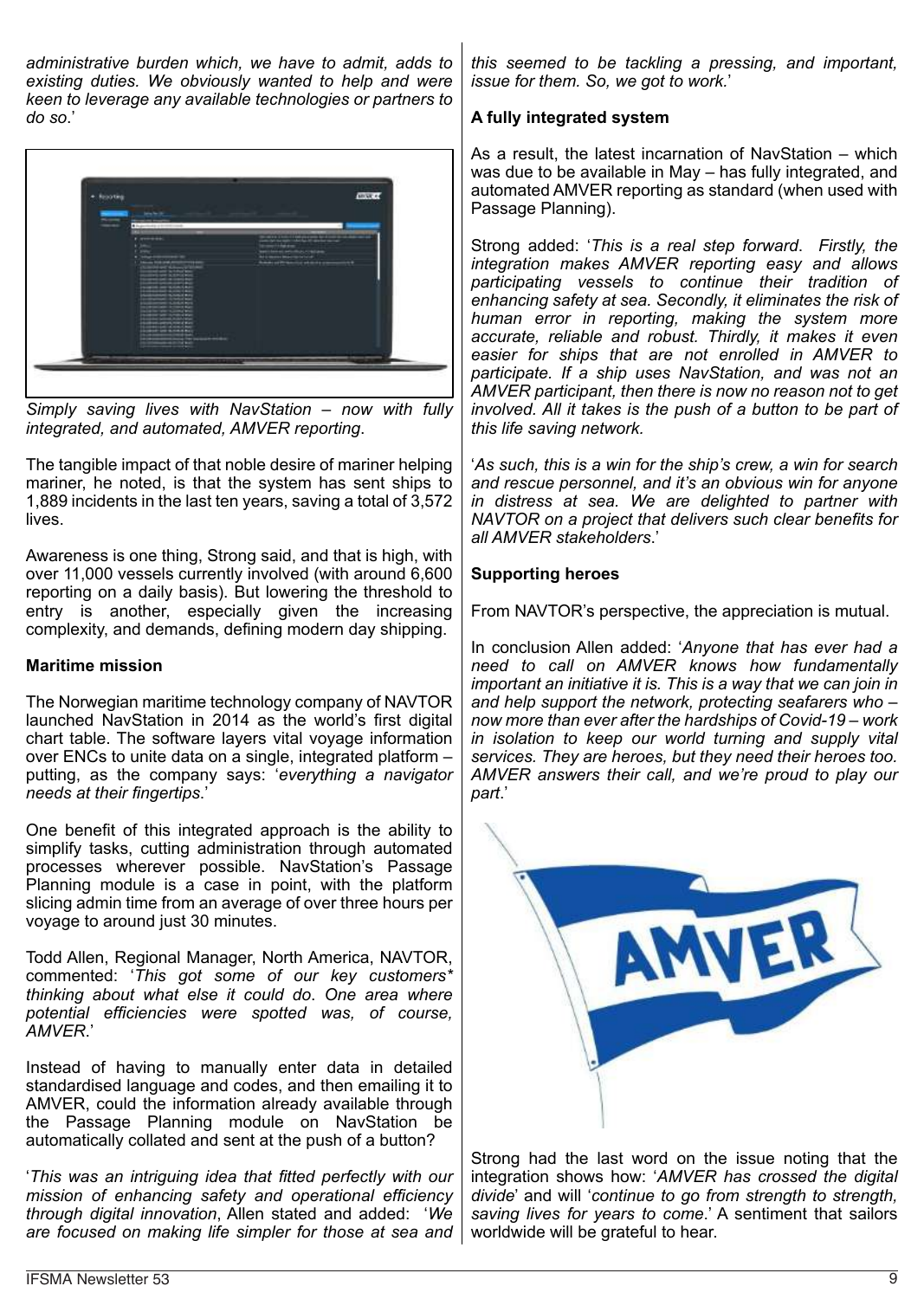*administrative burden which, we have to admit, adds to existing duties. We obviously wanted to help and were keen to leverage any available technologies or partners to do so*.'



*Simply saving lives with NavStation – now with fully integrated, and automated, AMVER reporting*.

The tangible impact of that noble desire of mariner helping mariner, he noted, is that the system has sent ships to 1,889 incidents in the last ten years, saving a total of 3,572 lives.

Awareness is one thing, Strong said, and that is high, with over 11,000 vessels currently involved (with around 6,600 reporting on a daily basis). But lowering the threshold to entry is another, especially given the increasing complexity, and demands, defining modern day shipping.

#### **Maritime mission**

The Norwegian maritime technology company of NAVTOR launched NavStation in 2014 as the world's first digital chart table. The software layers vital voyage information over ENCs to unite data on a single, integrated platform – putting, as the company says: '*everything a navigator needs at their fingertips*.'

One benefit of this integrated approach is the ability to simplify tasks, cutting administration through automated processes wherever possible. NavStation's Passage Planning module is a case in point, with the platform slicing admin time from an average of over three hours per voyage to around just 30 minutes.

Todd Allen, Regional Manager, North America, NAVTOR, commented: '*This got some of our key customers\* thinking about what else it could do*. *One area where potential efficiencies were spotted was, of course, AMVER*.'

Instead of having to manually enter data in detailed standardised language and codes, and then emailing it to AMVER, could the information already available through the Passage Planning module on NavStation be automatically collated and sent at the push of a button?

'*This was an intriguing idea that fitted perfectly with our mission of enhancing safety and operational efficiency through digital innovation*, Allen stated and added: '*We are focused on making life simpler for those at sea and*

*this seemed to be tackling a pressing, and important, issue for them. So, we got to work.*'

## **A fully integrated system**

As a result, the latest incarnation of NavStation – which was due to be available in May – has fully integrated, and automated AMVER reporting as standard (when used with Passage Planning).

Strong added: '*This is a real step forward*. *Firstly, the integration makes AMVER reporting easy and allows participating vessels to continue their tradition of enhancing safety at sea. Secondly, it eliminates the risk of human error in reporting, making the system more accurate, reliable and robust. Thirdly, it makes it even easier for ships that are not enrolled in AMVER to participate. If a ship uses NavStation, and was not an AMVER participant, then there is now no reason not to get involved. All it takes is the push of a button to be part of this life saving network.*

'*As such, this is a win for the ship's crew, a win for search and rescue personnel, and it's an obvious win for anyone in distress at sea. We are delighted to partner with NAVTOR on a project that delivers such clear benefits for all AMVER stakeholders*.'

# **Supporting heroes**

From NAVTOR's perspective, the appreciation is mutual.

In conclusion Allen added: '*Anyone that has ever had a need to call on AMVER knows how fundamentally important an initiative it is. This is a way that we can join in and help support the network, protecting seafarers who – now more than ever after the hardships of Covid-19 – work in isolation to keep our world turning and supply vital services. They are heroes, but they need their heroes too. AMVER answers their call, and we're proud to play our part*.'



Strong had the last word on the issue noting that the integration shows how: '*AMVER has crossed the digital divide*' and will '*continue to go from strength to strength, saving lives for years to come*.' A sentiment that sailors worldwide will be grateful to hear.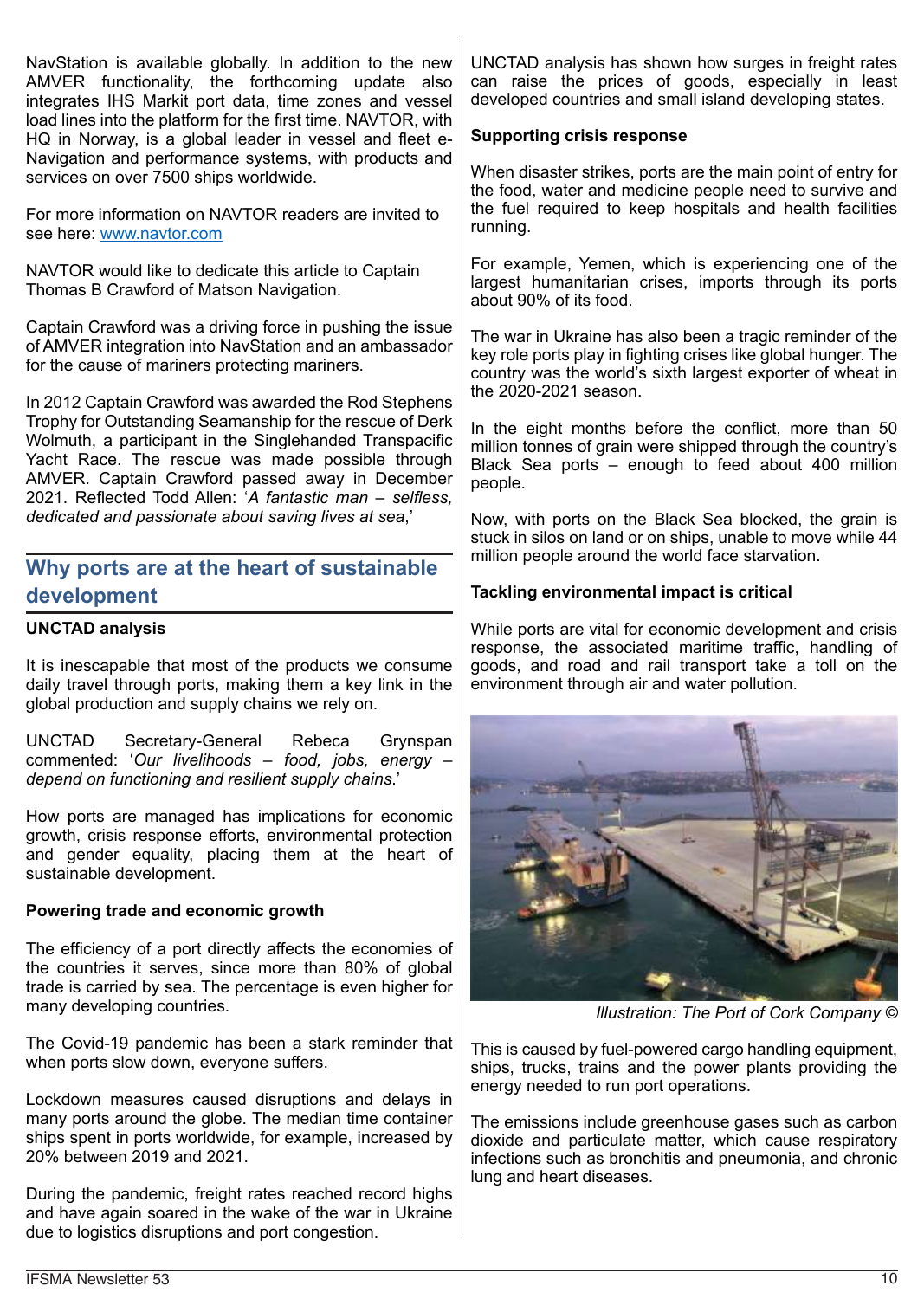NavStation is available globally. In addition to the new AMVER functionality, the forthcoming update also integrates IHS Markit port data, time zones and vessel load lines into the platform for the first time. NAVTOR, with HQ in Norway, is a global leader in vessel and fleet e-Navigation and performance systems, with products and services on over 7500 ships worldwide.

For more information on NAVTOR readers are invited to see here: www.navtor.com

NAVTOR would like to dedicate this article to Captain Thomas B Crawford of Matson Navigation.

Captain Crawford was a driving force in pushing the issue of AMVER integration into NavStation and an ambassador for the cause of mariners protecting mariners.

In 2012 Captain Crawford was awarded the Rod Stephens Trophy for Outstanding Seamanship for the rescue of Derk Wolmuth, a participant in the Singlehanded Transpacific Yacht Race. The rescue was made possible through AMVER. Captain Crawford passed away in December 2021. Reflected Todd Allen: '*A fantastic man – selfless, dedicated and passionate about saving lives at sea*,'

# **Why ports are at the heart of sustainable development**

#### **UNCTAD analysis**

It is inescapable that most of the products we consume daily travel through ports, making them a key link in the global production and supply chains we rely on.

UNCTAD Secretary-General Rebeca Grynspan commented: '*Our livelihoods – food, jobs, energy – depend on functioning and resilient supply chains*.'

How ports are managed has implications for economic growth, crisis response efforts, environmental protection and gender equality, placing them at the heart of sustainable development.

#### **Powering trade and economic growth**

The efficiency of a port directly affects the economies of the countries it serves, since more than 80% of global trade is carried by sea. The percentage is even higher for many developing countries.

The Covid-19 pandemic has been a stark reminder that when ports slow down, everyone suffers.

Lockdown measures caused disruptions and delays in many ports around the globe. The median time container ships spent in ports worldwide, for example, increased by 20% between 2019 and 2021.

During the pandemic, freight rates reached record highs and have again soared in the wake of the war in Ukraine due to logistics disruptions and port congestion.

UNCTAD analysis has shown how surges in freight rates can raise the prices of goods, especially in least developed countries and small island developing states.

#### **Supporting crisis response**

When disaster strikes, ports are the main point of entry for the food, water and medicine people need to survive and the fuel required to keep hospitals and health facilities running.

For example, Yemen, which is experiencing one of the largest humanitarian crises, imports through its ports about 90% of its food.

The war in Ukraine has also been a tragic reminder of the key role ports play in fighting crises like global hunger. The country was the world's sixth largest exporter of wheat in the 2020-2021 season.

In the eight months before the conflict, more than 50 million tonnes of grain were shipped through the country's Black Sea ports – enough to feed about 400 million people.

Now, with ports on the Black Sea blocked, the grain is stuck in silos on land or on ships, unable to move while 44 million people around the world face starvation.

#### **Tackling environmental impact is critical**

While ports are vital for economic development and crisis response, the associated maritime traffic, handling of goods, and road and rail transport take a toll on the environment through air and water pollution.



*Illustration: The Port of Cork Company ©*

This is caused by fuel-powered cargo handling equipment, ships, trucks, trains and the power plants providing the energy needed to run port operations.

The emissions include greenhouse gases such as carbon dioxide and particulate matter, which cause respiratory infections such as bronchitis and pneumonia, and chronic lung and heart diseases.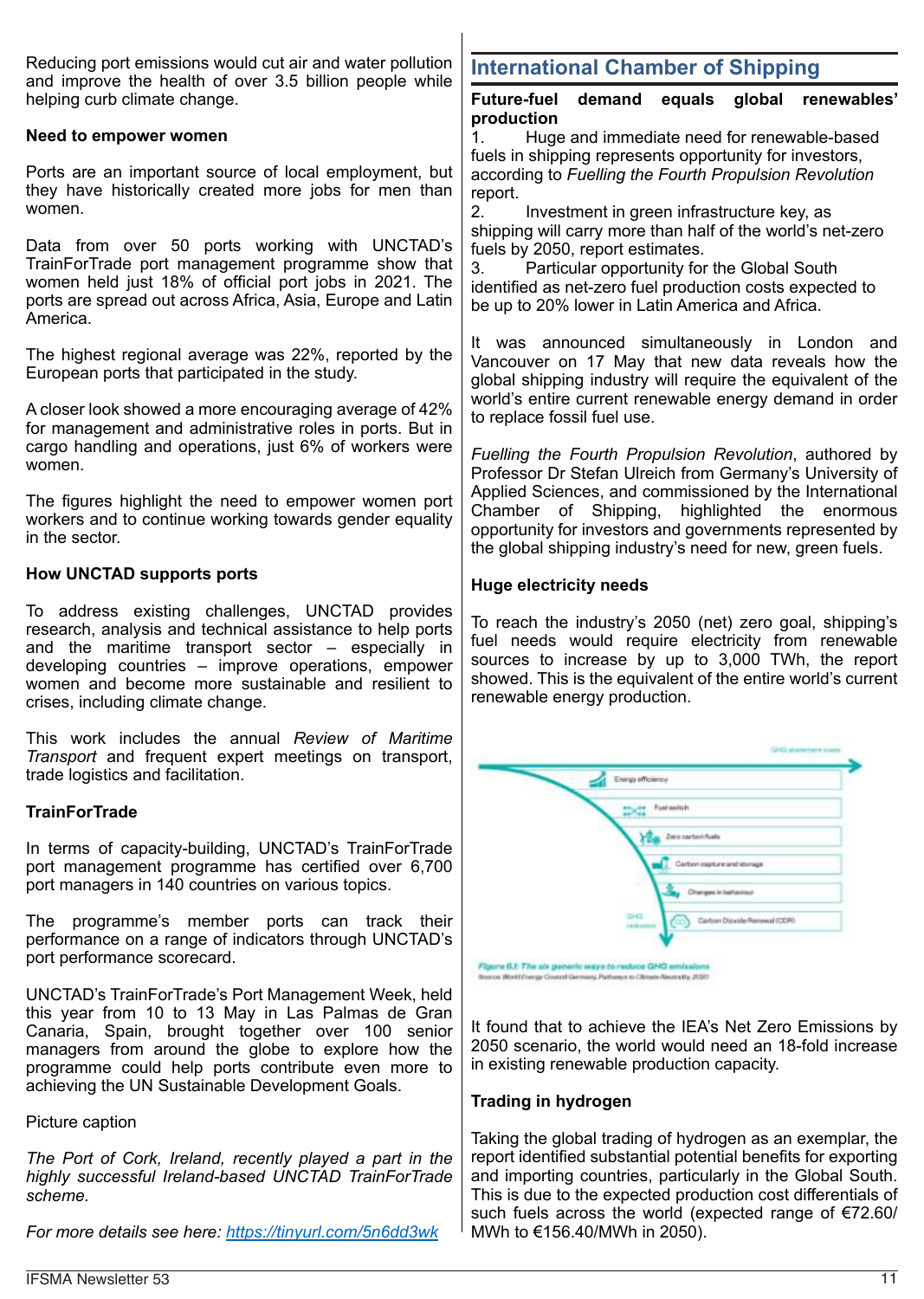Reducing port emissions would cut air and water pollution and improve the health of over 3.5 billion people while helping curb climate change.

#### **Need to empower women**

Ports are an important source of local employment, but they have historically created more jobs for men than women.

Data from over 50 ports working with UNCTAD's TrainForTrade port management programme show that women held just 18% of official port jobs in 2021. The ports are spread out across Africa, Asia, Europe and Latin America.

The highest regional average was 22%, reported by the European ports that participated in the study.

A closer look showed a more encouraging average of 42% for management and administrative roles in ports. But in cargo handling and operations, just 6% of workers were women.

The figures highlight the need to empower women port workers and to continue working towards gender equality in the sector.

#### **How UNCTAD supports ports**

To address existing challenges, UNCTAD provides research, analysis and technical assistance to help ports and the maritime transport sector – especially in developing countries – improve operations, empower women and become more sustainable and resilient to crises, including climate change.

This work includes the annual *Review of Maritime Transport* and frequent expert meetings on transport, trade logistics and facilitation.

#### **TrainForTrade**

In terms of capacity-building, UNCTAD's TrainForTrade port management programme has certified over 6,700 port managers in 140 countries on various topics.

The programme's member ports can track their performance on a range of indicators through UNCTAD's port performance scorecard.

UNCTAD's TrainForTrade's Port Management Week, held this year from 10 to 13 May in Las Palmas de Gran Canaria, Spain, brought together over 100 senior managers from around the globe to explore how the programme could help ports contribute even more to achieving the UN Sustainable Development Goals.

Picture caption

*The Port of Cork, Ireland, recently played a part in the highly successful Ireland-based UNCTAD TrainForTrade scheme.*

*For more details see here: https://tinyurl.com/5n6dd3wk*

# **International Chamber of Shipping**

**Future-fuel demand equals global renewables' production**

1. Huge and immediate need for renewable-based fuels in shipping represents opportunity for investors, according to *Fuelling the Fourth Propulsion Revolution* report.

2. Investment in green infrastructure key, as shipping will carry more than half of the world's net-zero fuels by 2050, report estimates.

3. Particular opportunity for the Global South identified as net-zero fuel production costs expected to be up to 20% lower in Latin America and Africa.

It was announced simultaneously in London and Vancouver on 17 May that new data reveals how the global shipping industry will require the equivalent of the world's entire current renewable energy demand in order to replace fossil fuel use.

*Fuelling the Fourth Propulsion Revolution*, authored by Professor Dr Stefan Ulreich from Germany's University of Applied Sciences, and commissioned by the International Chamber of Shipping, highlighted the enormous opportunity for investors and governments represented by the global shipping industry's need for new, green fuels.

#### **Huge electricity needs**

To reach the industry's 2050 (net) zero goal, shipping's fuel needs would require electricity from renewable sources to increase by up to 3,000 TWh, the report showed. This is the equivalent of the entire world's current renewable energy production.



It found that to achieve the IEA's Net Zero Emissions by 2050 scenario, the world would need an 18-fold increase in existing renewable production capacity.

#### **Trading in hydrogen**

Taking the global trading of hydrogen as an exemplar, the report identified substantial potential benefits for exporting and importing countries, particularly in the Global South. This is due to the expected production cost differentials of such fuels across the world (expected range of €72.60/ MWh to €156.40/MWh in 2050).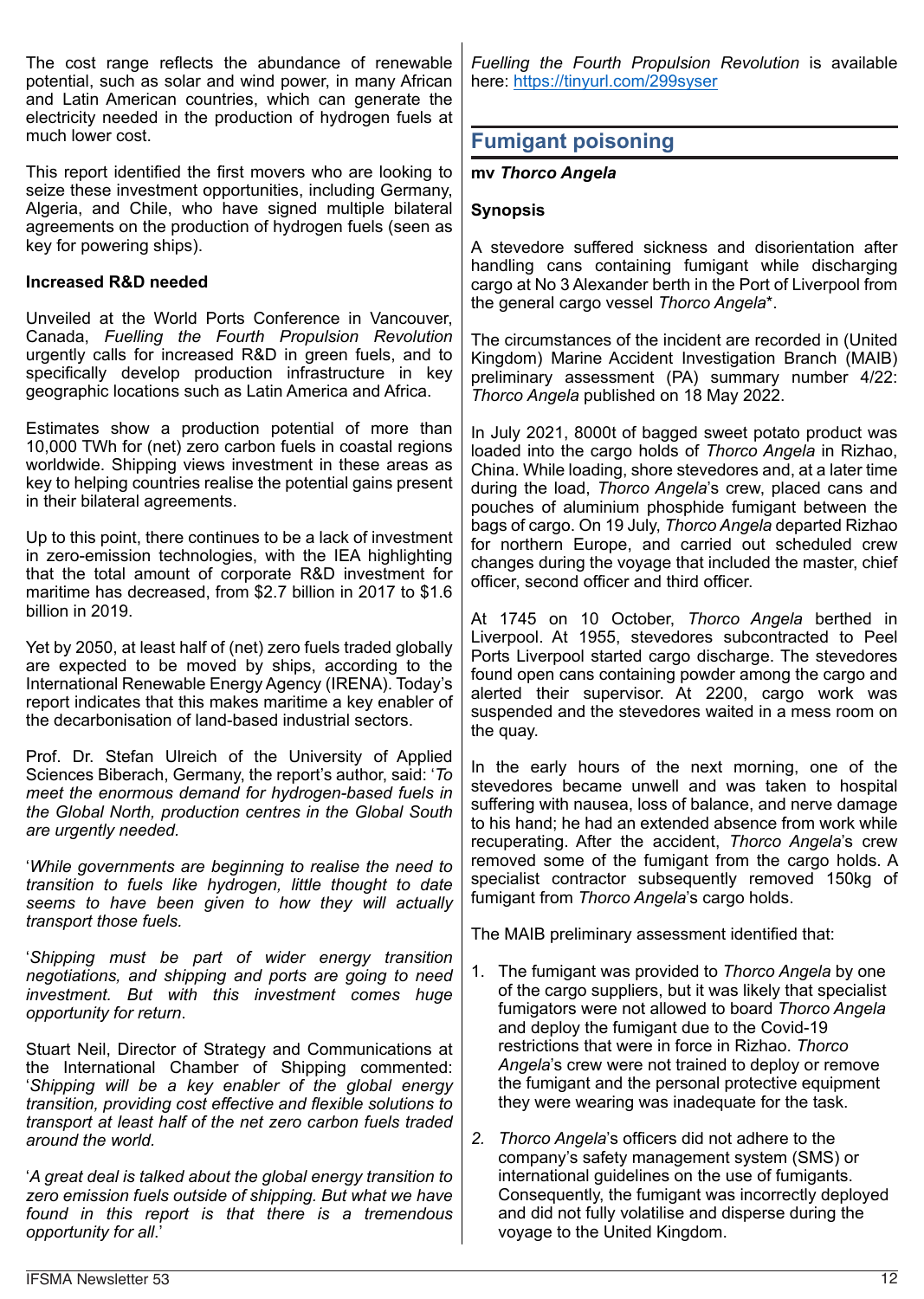The cost range reflects the abundance of renewable potential, such as solar and wind power, in many African and Latin American countries, which can generate the electricity needed in the production of hydrogen fuels at much lower cost.

This report identified the first movers who are looking to seize these investment opportunities, including Germany, Algeria, and Chile, who have signed multiple bilateral agreements on the production of hydrogen fuels (seen as key for powering ships).

## **Increased R&D needed**

Unveiled at the World Ports Conference in Vancouver, Canada, *Fuelling the Fourth Propulsion Revolution* urgently calls for increased R&D in green fuels, and to specifically develop production infrastructure in key geographic locations such as Latin America and Africa.

Estimates show a production potential of more than 10,000 TWh for (net) zero carbon fuels in coastal regions worldwide. Shipping views investment in these areas as key to helping countries realise the potential gains present in their bilateral agreements.

Up to this point, there continues to be a lack of investment in zero-emission technologies, with the IEA highlighting that the total amount of corporate R&D investment for maritime has decreased, from \$2.7 billion in 2017 to \$1.6 billion in 2019.

Yet by 2050, at least half of (net) zero fuels traded globally are expected to be moved by ships, according to the International Renewable Energy Agency (IRENA). Today's report indicates that this makes maritime a key enabler of the decarbonisation of land-based industrial sectors.

Prof. Dr. Stefan Ulreich of the University of Applied Sciences Biberach, Germany, the report's author, said: '*To meet the enormous demand for hydrogen-based fuels in the Global North, production centres in the Global South are urgently needed.*

'*While governments are beginning to realise the need to transition to fuels like hydrogen, little thought to date seems to have been given to how they will actually transport those fuels.*

'*Shipping must be part of wider energy transition negotiations, and shipping and ports are going to need investment. But with this investment comes huge opportunity for return*.

Stuart Neil, Director of Strategy and Communications at the International Chamber of Shipping commented: '*Shipping will be a key enabler of the global energy transition, providing cost effective and flexible solutions to transport at least half of the net zero carbon fuels traded around the world.*

'*A great deal is talked about the global energy transition to zero emission fuels outside of shipping. But what we have found in this report is that there is a tremendous opportunity for all*.'

*Fuelling the Fourth Propulsion Revolution* is available here: https://tinyurl.com/299syser

# **Fumigant poisoning**

#### **mv** *Thorco Angela*

#### **Synopsis**

A stevedore suffered sickness and disorientation after handling cans containing fumigant while discharging cargo at No 3 Alexander berth in the Port of Liverpool from the general cargo vessel *Thorco Angela*\*.

The circumstances of the incident are recorded in (United Kingdom) Marine Accident Investigation Branch (MAIB) preliminary assessment (PA) summary number 4/22: *Thorco Angela* published on 18 May 2022.

In July 2021, 8000t of bagged sweet potato product was loaded into the cargo holds of *Thorco Angela* in Rizhao, China. While loading, shore stevedores and, at a later time during the load, *Thorco Angela*'s crew, placed cans and pouches of aluminium phosphide fumigant between the bags of cargo. On 19 July, *Thorco Angela* departed Rizhao for northern Europe, and carried out scheduled crew changes during the voyage that included the master, chief officer, second officer and third officer.

At 1745 on 10 October, *Thorco Angela* berthed in Liverpool. At 1955, stevedores subcontracted to Peel Ports Liverpool started cargo discharge. The stevedores found open cans containing powder among the cargo and alerted their supervisor. At 2200, cargo work was suspended and the stevedores waited in a mess room on the quay.

In the early hours of the next morning, one of the stevedores became unwell and was taken to hospital suffering with nausea, loss of balance, and nerve damage to his hand; he had an extended absence from work while recuperating. After the accident, *Thorco Angela*'s crew removed some of the fumigant from the cargo holds. A specialist contractor subsequently removed 150kg of fumigant from *Thorco Angela*'s cargo holds.

The MAIB preliminary assessment identified that:

- 1. The fumigant was provided to *Thorco Angela* by one of the cargo suppliers, but it was likely that specialist fumigators were not allowed to board *Thorco Angela* and deploy the fumigant due to the Covid-19 restrictions that were in force in Rizhao. *Thorco Angela*'s crew were not trained to deploy or remove the fumigant and the personal protective equipment they were wearing was inadequate for the task.
- *2. Thorco Angela*'s officers did not adhere to the company's safety management system (SMS) or international guidelines on the use of fumigants. Consequently, the fumigant was incorrectly deployed and did not fully volatilise and disperse during the voyage to the United Kingdom.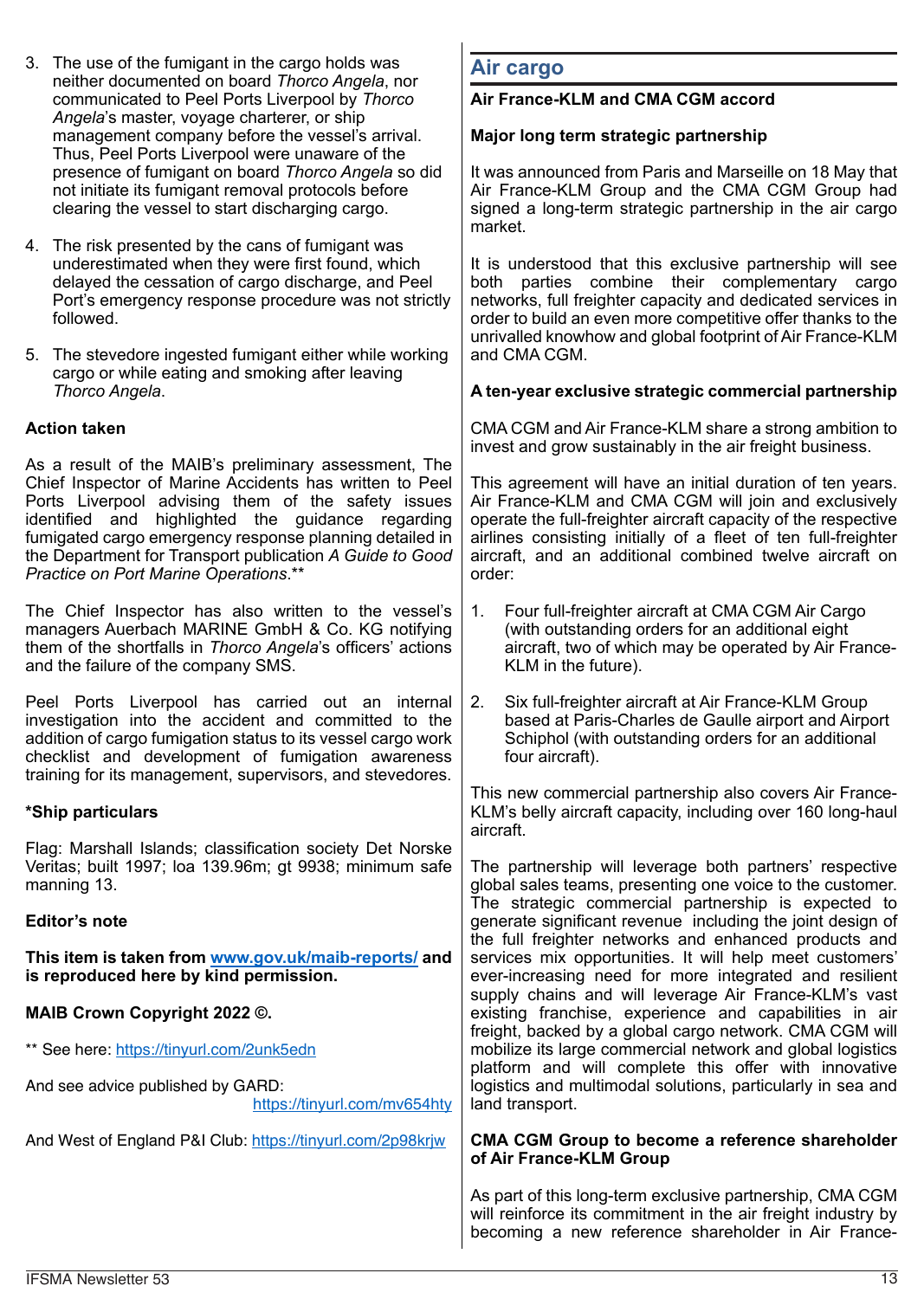- 3. The use of the fumigant in the cargo holds was neither documented on board *Thorco Angela*, nor communicated to Peel Ports Liverpool by *Thorco Angela*'s master, voyage charterer, or ship management company before the vessel's arrival. Thus, Peel Ports Liverpool were unaware of the presence of fumigant on board *Thorco Angela* so did not initiate its fumigant removal protocols before clearing the vessel to start discharging cargo.
- 4. The risk presented by the cans of fumigant was underestimated when they were first found, which delayed the cessation of cargo discharge, and Peel Port's emergency response procedure was not strictly followed.
- 5. The stevedore ingested fumigant either while working cargo or while eating and smoking after leaving *Thorco Angela*.

## **Action taken**

As a result of the MAIB's preliminary assessment, The Chief Inspector of Marine Accidents has written to Peel Ports Liverpool advising them of the safety issues identified and highlighted the guidance regarding fumigated cargo emergency response planning detailed in the Department for Transport publication *A Guide to Good Practice on Port Marine Operations*.\*\*

The Chief Inspector has also written to the vessel's managers Auerbach MARINE GmbH & Co. KG notifying them of the shortfalls in *Thorco Angela*'s officers' actions and the failure of the company SMS.

Peel Ports Liverpool has carried out an internal investigation into the accident and committed to the addition of cargo fumigation status to its vessel cargo work checklist and development of fumigation awareness training for its management, supervisors, and stevedores.

#### **\*Ship particulars**

Flag: Marshall Islands; classification society Det Norske Veritas; built 1997; loa 139.96m; gt 9938; minimum safe manning 13.

#### **Editor's note**

**This item is taken from www.gov.uk/maib-reports/ and is reproduced here by kind permission.**

|                                                                   | <b>CYCL INDICADING NOCA TOI NICIO INTOGRATOR AND TOOMONT</b><br>supply chains and will leverage Air France-KLM's vast                                                          |
|-------------------------------------------------------------------|--------------------------------------------------------------------------------------------------------------------------------------------------------------------------------|
| <b>MAIB Crown Copyright 2022 ©.</b>                               | existing franchise, experience and capabilities in air                                                                                                                         |
| ** See here: https://tinyurl.com/2unk5edn                         | freight, backed by a global cargo network. CMA CGM will<br>mobilize its large commercial network and global logistics<br>platform and will complete this offer with innovative |
| And see advice published by GARD:<br>https://tinyurl.com/mv654hty | logistics and multimodal solutions, particularly in sea and<br>land transport.                                                                                                 |
| And West of England P&I Club: https://tinyurl.com/2p98krjw        | CMA CGM Group to become a reference shareholder<br>of Air France-KLM Group                                                                                                     |
|                                                                   | As part of this long-term exclusive partnership, CMA CGM                                                                                                                       |

## **Air cargo**

#### **Air France-KLM and CMA CGM accord**

#### **Major long term strategic partnership**

It was announced from Paris and Marseille on 18 May that Air France-KLM Group and the CMA CGM Group had signed a long-term strategic partnership in the air cargo market.

It is understood that this exclusive partnership will see both parties combine their complementary cargo networks, full freighter capacity and dedicated services in order to build an even more competitive offer thanks to the unrivalled knowhow and global footprint of Air France-KLM and CMA CGM.

#### **A ten-year exclusive strategic commercial partnership**

CMA CGM and Air France-KLM share a strong ambition to invest and grow sustainably in the air freight business.

This agreement will have an initial duration of ten years. Air France-KLM and CMA CGM will join and exclusively operate the full-freighter aircraft capacity of the respective airlines consisting initially of a fleet of ten full-freighter aircraft, and an additional combined twelve aircraft on order:

- 1. Four full-freighter aircraft at CMA CGM Air Cargo (with outstanding orders for an additional eight aircraft, two of which may be operated by Air France-KLM in the future).
- 2. Six full-freighter aircraft at Air France-KLM Group based at Paris-Charles de Gaulle airport and Airport Schiphol (with outstanding orders for an additional four aircraft).

This new commercial partnership also covers Air France-KLM's belly aircraft capacity, including over 160 long-haul aircraft.

The partnership will leverage both partners' respective global sales teams, presenting one voice to the customer. The strategic commercial partnership is expected to generate significant revenue including the joint design of the full freighter networks and enhanced products and services mix opportunities. It will help meet customers' ever-increasing need for more integrated and resilient

will reinforce its commitment in the air freight industry by becoming a new reference shareholder in Air France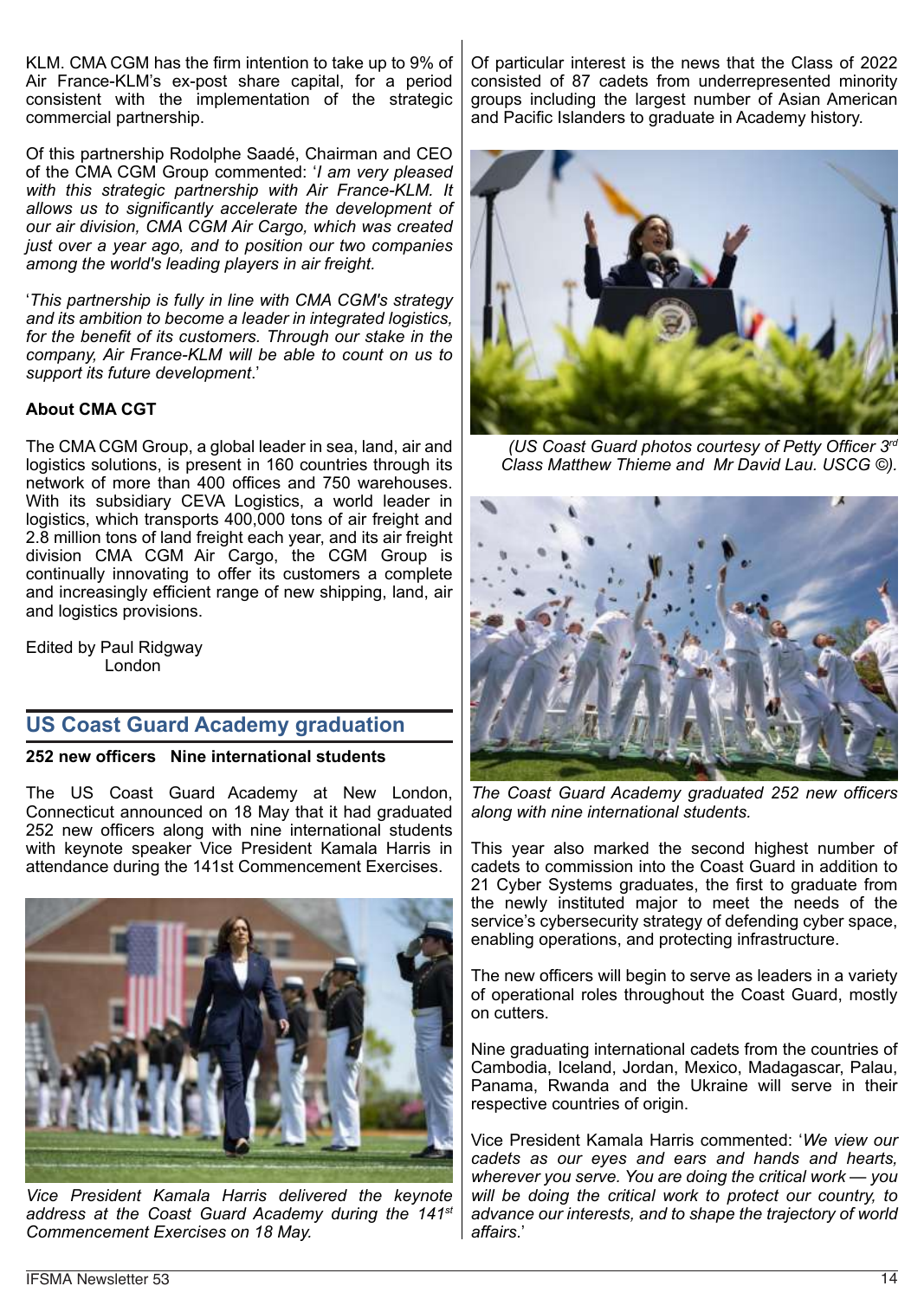KLM. CMA CGM has the firm intention to take up to 9% of Air France-KLM's ex-post share capital, for a period consistent with the implementation of the strategic commercial partnership.

Of this partnership Rodolphe Saadé, Chairman and CEO of the CMA CGM Group commented: '*I am very pleased with this strategic partnership with Air France-KLM. It allows us to significantly accelerate the development of our air division, CMA CGM Air Cargo, which was created just over a year ago, and to position our two companies among the world's leading players in air freight.*

'*This partnership is fully in line with CMA CGM's strategy and its ambition to become a leader in integrated logistics, for the benefit of its customers. Through our stake in the company, Air France-KLM will be able to count on us to support its future development*.'

## **About CMA CGT**

The CMA CGM Group, a global leader in sea, land, air and logistics solutions, is present in 160 countries through its network of more than 400 offices and 750 warehouses. With its subsidiary CEVA Logistics, a world leader in logistics, which transports 400,000 tons of air freight and 2.8 million tons of land freight each year, and its air freight division CMA CGM Air Cargo, the CGM Group is continually innovating to offer its customers a complete and increasingly efficient range of new shipping, land, air and logistics provisions.

Edited by Paul Ridgway London

# **US Coast Guard Academy graduation**

#### **252 new officers Nine international students**

The US Coast Guard Academy at New London, Connecticut announced on 18 May that it had graduated 252 new officers along with nine international students with keynote speaker Vice President Kamala Harris in attendance during the 141st Commencement Exercises.



*Vice President Kamala Harris delivered the keynote address at the Coast Guard Academy during the 141st Commencement Exercises on 18 May.*

Of particular interest is the news that the Class of 2022 consisted of 87 cadets from underrepresented minority groups including the largest number of Asian American and Pacific Islanders to graduate in Academy history.



*(US Coast Guard photos courtesy of Petty Officer 3rd Class Matthew Thieme and Mr David Lau. USCG ©).*



*The Coast Guard Academy graduated 252 new officers along with nine international students.*

This year also marked the second highest number of cadets to commission into the Coast Guard in addition to 21 Cyber Systems graduates, the first to graduate from the newly instituted major to meet the needs of the service's cybersecurity strategy of defending cyber space, enabling operations, and protecting infrastructure.

The new officers will begin to serve as leaders in a variety of operational roles throughout the Coast Guard, mostly on cutters.

Nine graduating international cadets from the countries of Cambodia, Iceland, Jordan, Mexico, Madagascar, Palau, Panama, Rwanda and the Ukraine will serve in their respective countries of origin.

Vice President Kamala Harris commented: '*We view our cadets as our eyes and ears and hands and hearts, wherever you serve. You are doing the critical work — you will be doing the critical work to protect our country, to advance our interests, and to shape the trajectory of world affairs*.'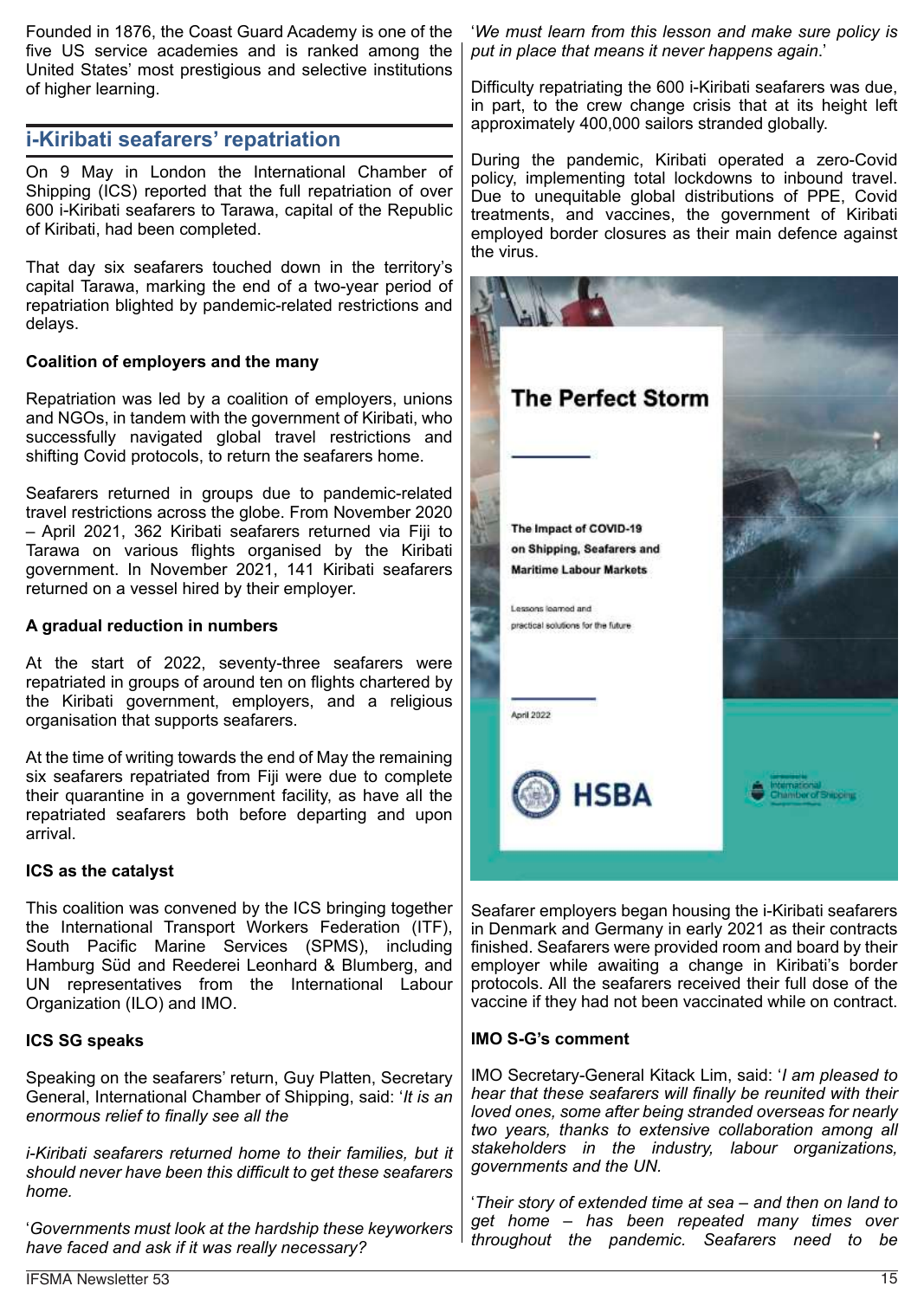Founded in 1876, the Coast Guard Academy is one of the five US service academies and is ranked among the United States' most prestigious and selective institutions of higher learning.

# **i-Kiribati seafarers' repatriation**

On 9 May in London the International Chamber of Shipping (ICS) reported that the full repatriation of over 600 i-Kiribati seafarers to Tarawa, capital of the Republic of Kiribati, had been completed.

That day six seafarers touched down in the territory's capital Tarawa, marking the end of a two-year period of repatriation blighted by pandemic-related restrictions and delays.

## **Coalition of employers and the many**

Repatriation was led by a coalition of employers, unions and NGOs, in tandem with the government of Kiribati, who successfully navigated global travel restrictions and shifting Covid protocols, to return the seafarers home.

Seafarers returned in groups due to pandemic-related travel restrictions across the globe. From November 2020 – April 2021, 362 Kiribati seafarers returned via Fiji to Tarawa on various flights organised by the Kiribati government. In November 2021, 141 Kiribati seafarers returned on a vessel hired by their employer.

#### **A gradual reduction in numbers**

At the start of 2022, seventy-three seafarers were repatriated in groups of around ten on flights chartered by the Kiribati government, employers, and a religious organisation that supports seafarers.

At the time of writing towards the end of May the remaining six seafarers repatriated from Fiji were due to complete their quarantine in a government facility, as have all the repatriated seafarers both before departing and upon arrival.

#### **ICS as the catalyst**

This coalition was convened by the ICS bringing together the International Transport Workers Federation (ITF), South Pacific Marine Services (SPMS), including Hamburg Süd and Reederei Leonhard & Blumberg, and UN representatives from the International Labour Organization (ILO) and IMO.

#### **ICS SG speaks**

Speaking on the seafarers' return, Guy Platten, Secretary General, International Chamber of Shipping, said: '*It is an enormous relief to finally see all the*

*i-Kiribati seafarers returned home to their families, but it should never have been this difficult to get these seafarers home.*

'*Governments must look at the hardship these keyworkers have faced and ask if it was really necessary?*

'*We must learn from this lesson and make sure policy is put in place that means it never happens again*.'

Difficulty repatriating the 600 i-Kiribati seafarers was due, in part, to the crew change crisis that at its height left approximately 400,000 sailors stranded globally.

During the pandemic, Kiribati operated a zero-Covid policy, implementing total lockdowns to inbound travel. Due to unequitable global distributions of PPE, Covid treatments, and vaccines, the government of Kiribati employed border closures as their main defence against the virus.



Seafarer employers began housing the i-Kiribati seafarers in Denmark and Germany in early 2021 as their contracts finished. Seafarers were provided room and board by their employer while awaiting a change in Kiribati's border protocols. All the seafarers received their full dose of the vaccine if they had not been vaccinated while on contract.

#### **IMO S-G's comment**

IMO Secretary-General Kitack Lim, said: '*I am pleased to hear that these seafarers will finally be reunited with their loved ones, some after being stranded overseas for nearly two years, thanks to extensive collaboration among all stakeholders in the industry, labour organizations, governments and the UN.*

'*Their story of extended time at sea – and then on land to get home – has been repeated many times over throughout the pandemic. Seafarers need to be*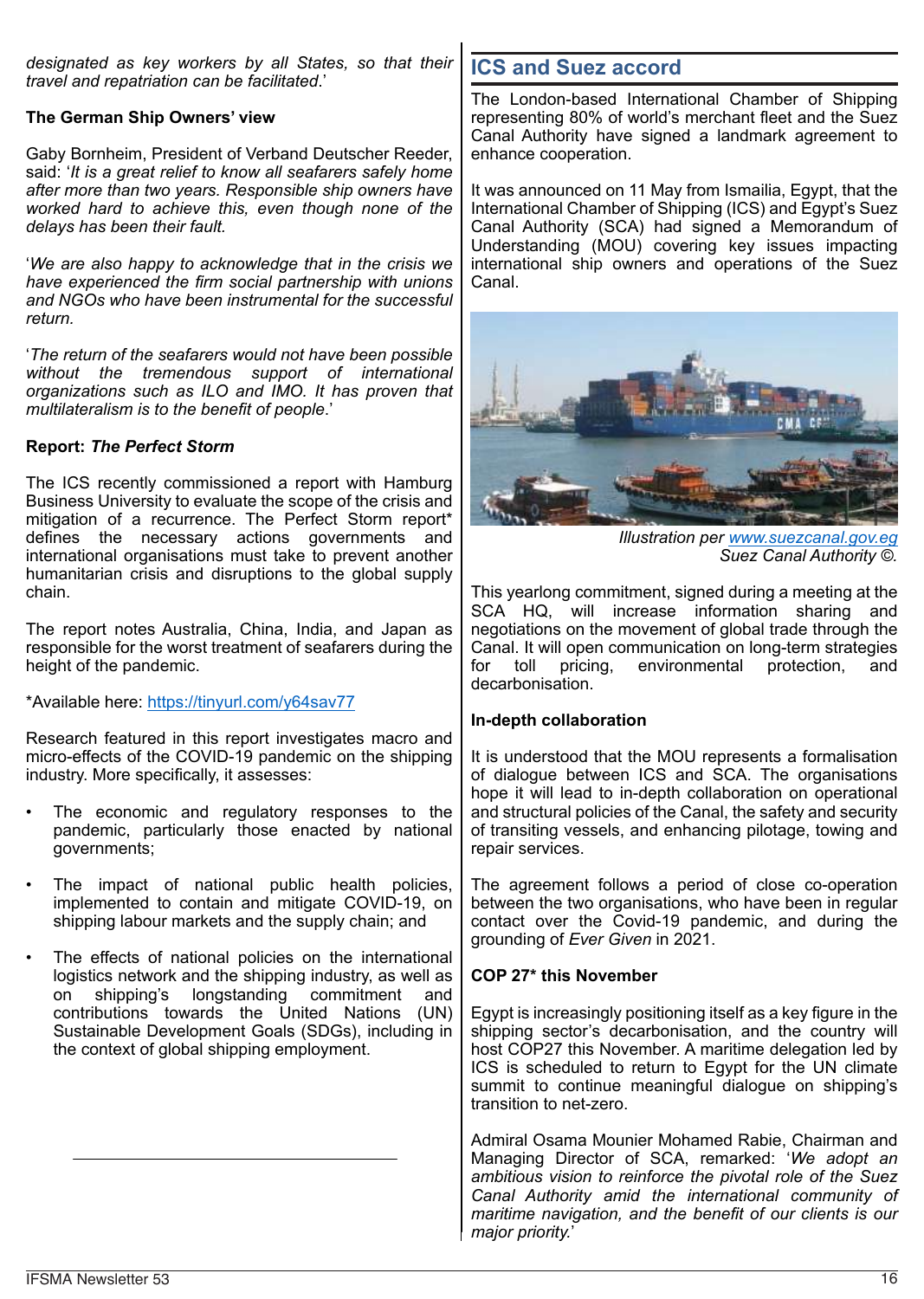*designated as key workers by all States, so that their travel and repatriation can be facilitated*.'

#### **The German Ship Owners' view**

Gaby Bornheim, President of Verband Deutscher Reeder, said: '*It is a great relief to know all seafarers safely home after more than two years. Responsible ship owners have worked hard to achieve this, even though none of the delays has been their fault.*

'*We are also happy to acknowledge that in the crisis we have experienced the firm social partnership with unions and NGOs who have been instrumental for the successful return.*

'*The return of the seafarers would not have been possible without the tremendous support of international organizations such as ILO and IMO. It has proven that multilateralism is to the benefit of people*.'

#### **Report:** *The Perfect Storm*

The ICS recently commissioned a report with Hamburg Business University to evaluate the scope of the crisis and mitigation of a recurrence. The Perfect Storm report\* defines the necessary actions governments and international organisations must take to prevent another humanitarian crisis and disruptions to the global supply chain.

The report notes Australia, China, India, and Japan as responsible for the worst treatment of seafarers during the height of the pandemic.

\*Available here: https://tinyurl.com/y64sav77

Research featured in this report investigates macro and micro-effects of the COVID-19 pandemic on the shipping industry. More specifically, it assesses:

- The economic and regulatory responses to the pandemic, particularly those enacted by national governments;
- The impact of national public health policies, implemented to contain and mitigate COVID-19, on shipping labour markets and the supply chain; and
- The effects of national policies on the international logistics network and the shipping industry, as well as on shipping's longstanding commitment and contributions towards the United Nations (UN) Sustainable Development Goals (SDGs), including in the context of global shipping employment.

# **ICS and Suez accord**

The London-based International Chamber of Shipping representing 80% of world's merchant fleet and the Suez Canal Authority have signed a landmark agreement to enhance cooperation.

It was announced on 11 May from Ismailia, Egypt, that the International Chamber of Shipping (ICS) and Egypt's Suez Canal Authority (SCA) had signed a Memorandum of Understanding (MOU) covering key issues impacting international ship owners and operations of the Suez Canal.



*Illustration per www.suezcanal.gov.eg Suez Canal Authority ©.*

This yearlong commitment, signed during a meeting at the SCA HQ, will increase information sharing and negotiations on the movement of global trade through the Canal. It will open communication on long-term strategies for toll pricing, environmental protection, and decarbonisation.

#### **In-depth collaboration**

It is understood that the MOU represents a formalisation of dialogue between ICS and SCA. The organisations hope it will lead to in-depth collaboration on operational and structural policies of the Canal, the safety and security of transiting vessels, and enhancing pilotage, towing and repair services.

The agreement follows a period of close co-operation between the two organisations, who have been in regular contact over the Covid-19 pandemic, and during the grounding of *Ever Given* in 2021.

#### **COP 27\* this November**

Egypt is increasingly positioning itself as a key figure in the shipping sector's decarbonisation, and the country will host COP27 this November. A maritime delegation led by ICS is scheduled to return to Egypt for the UN climate summit to continue meaningful dialogue on shipping's transition to net-zero.

Admiral Osama Mounier Mohamed Rabie, Chairman and Managing Director of SCA, remarked: '*We adopt an ambitious vision to reinforce the pivotal role of the Suez Canal Authority amid the international community of maritime navigation, and the benefit of our clients is our major priority.*'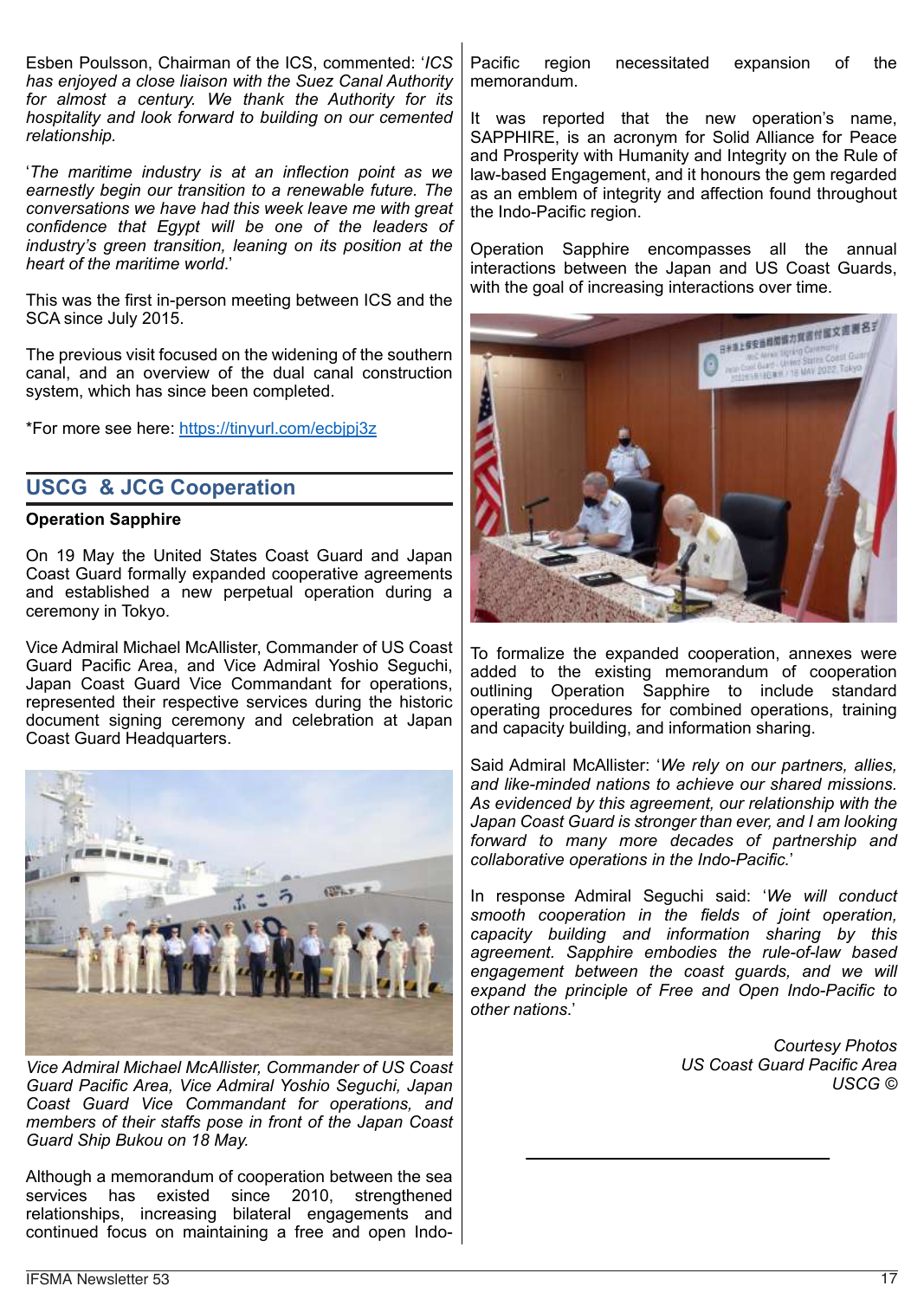Esben Poulsson, Chairman of the ICS, commented: '*ICS has enjoyed a close liaison with the Suez Canal Authority for almost a century. We thank the Authority for its hospitality and look forward to building on our cemented relationship.*

'*The maritime industry is at an inflection point as we earnestly begin our transition to a renewable future. The conversations we have had this week leave me with great confidence that Egypt will be one of the leaders of industry's green transition, leaning on its position at the heart of the maritime world*.'

This was the first in-person meeting between ICS and the SCA since July 2015.

The previous visit focused on the widening of the southern canal, and an overview of the dual canal construction system, which has since been completed.

\*For more see here: https://tinyurl.com/ecbjpj3z

# **USCG & JCG Cooperation**

#### **Operation Sapphire**

On 19 May the United States Coast Guard and Japan Coast Guard formally expanded cooperative agreements and established a new perpetual operation during a ceremony in Tokyo.

Vice Admiral Michael McAllister, Commander of US Coast Guard Pacific Area, and Vice Admiral Yoshio Seguchi, Japan Coast Guard Vice Commandant for operations, represented their respective services during the historic document signing ceremony and celebration at Japan Coast Guard Headquarters.



*Vice Admiral Michael McAllister, Commander of US Coast Guard Pacific Area, Vice Admiral Yoshio Seguchi, Japan Coast Guard Vice Commandant for operations, and members of their staffs pose in front of the Japan Coast Guard Ship Bukou on 18 May.*

Although a memorandum of cooperation between the sea services has existed since 2010, strengthened relationships, increasing bilateral engagements and continued focus on maintaining a free and open IndoPacific region necessitated expansion of the memorandum.

It was reported that the new operation's name, SAPPHIRE, is an acronym for Solid Alliance for Peace and Prosperity with Humanity and Integrity on the Rule of law-based Engagement, and it honours the gem regarded as an emblem of integrity and affection found throughout the Indo-Pacific region.

Operation Sapphire encompasses all the annual interactions between the Japan and US Coast Guards, with the goal of increasing interactions over time.



To formalize the expanded cooperation, annexes were added to the existing memorandum of cooperation outlining Operation Sapphire to include standard operating procedures for combined operations, training and capacity building, and information sharing.

Said Admiral McAllister: '*We rely on our partners, allies, and like-minded nations to achieve our shared missions. As evidenced by this agreement, our relationship with the Japan Coast Guard is stronger than ever, and I am looking forward to many more decades of partnership and collaborative operations in the Indo-Pacific.*'

In response Admiral Seguchi said: '*We will conduct smooth cooperation in the fields of joint operation, capacity building and information sharing by this agreement. Sapphire embodies the rule-of-law based engagement between the coast guards, and we will expand the principle of Free and Open Indo-Pacific to other nations*.'

> *Courtesy Photos US Coast Guard Pacific Area USCG ©*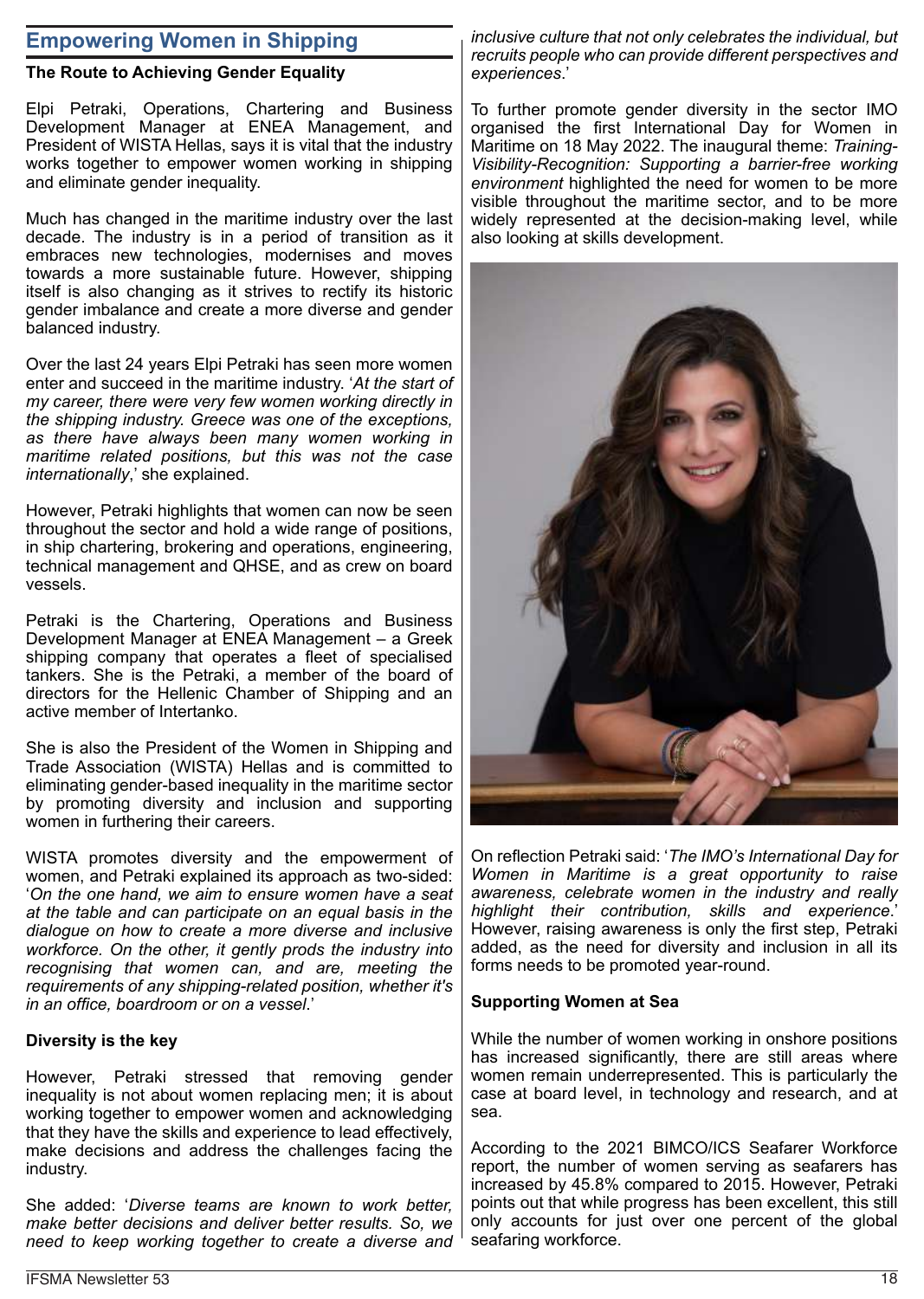# **Empowering Women in Shipping**

## **The Route to Achieving Gender Equality**

Elpi Petraki, Operations, Chartering and Business Development Manager at ENEA Management, and President of WISTA Hellas, says it is vital that the industry works together to empower women working in shipping and eliminate gender inequality.

Much has changed in the maritime industry over the last decade. The industry is in a period of transition as it embraces new technologies, modernises and moves towards a more sustainable future. However, shipping itself is also changing as it strives to rectify its historic gender imbalance and create a more diverse and gender balanced industry.

Over the last 24 years Elpi Petraki has seen more women enter and succeed in the maritime industry. '*At the start of my career, there were very few women working directly in the shipping industry. Greece was one of the exceptions, as there have always been many women working in maritime related positions, but this was not the case internationally*,' she explained.

However, Petraki highlights that women can now be seen throughout the sector and hold a wide range of positions, in ship chartering, brokering and operations, engineering, technical management and QHSE, and as crew on board vessels.

Petraki is the Chartering, Operations and Business Development Manager at ENEA Management – a Greek shipping company that operates a fleet of specialised tankers. She is the Petraki, a member of the board of directors for the Hellenic Chamber of Shipping and an active member of Intertanko.

She is also the President of the Women in Shipping and Trade Association (WISTA) Hellas and is committed to eliminating gender-based inequality in the maritime sector by promoting diversity and inclusion and supporting women in furthering their careers.

WISTA promotes diversity and the empowerment of women, and Petraki explained its approach as two-sided: '*On the one hand, we aim to ensure women have a seat at the table and can participate on an equal basis in the dialogue on how to create a more diverse and inclusive workforce. On the other, it gently prods the industry into recognising that women can, and are, meeting the requirements of any shipping-related position, whether it's in an office, boardroom or on a vessel*.'

#### **Diversity is the key**

However, Petraki stressed that removing gender inequality is not about women replacing men; it is about working together to empower women and acknowledging that they have the skills and experience to lead effectively, make decisions and address the challenges facing the industry.

She added: '*Diverse teams are known to work better, make better decisions and deliver better results. So, we need to keep working together to create a diverse and*

*inclusive culture that not only celebrates the individual, but recruits people who can provide different perspectives and experiences*.'

To further promote gender diversity in the sector IMO organised the first International Day for Women in Maritime on 18 May 2022. The inaugural theme: *Training-Visibility-Recognition: Supporting a barrier-free working environment* highlighted the need for women to be more visible throughout the maritime sector, and to be more widely represented at the decision-making level, while also looking at skills development.



On reflection Petraki said: '*The IMO's International Day for Women in Maritime is a great opportunity to raise awareness, celebrate women in the industry and really highlight their contribution, skills and experience*.' However, raising awareness is only the first step, Petraki added, as the need for diversity and inclusion in all its forms needs to be promoted year-round.

#### **Supporting Women at Sea**

While the number of women working in onshore positions has increased significantly, there are still areas where women remain underrepresented. This is particularly the case at board level, in technology and research, and at sea.

According to the 2021 BIMCO/ICS Seafarer Workforce report, the number of women serving as seafarers has increased by 45.8% compared to 2015. However, Petraki points out that while progress has been excellent, this still only accounts for just over one percent of the global seafaring workforce.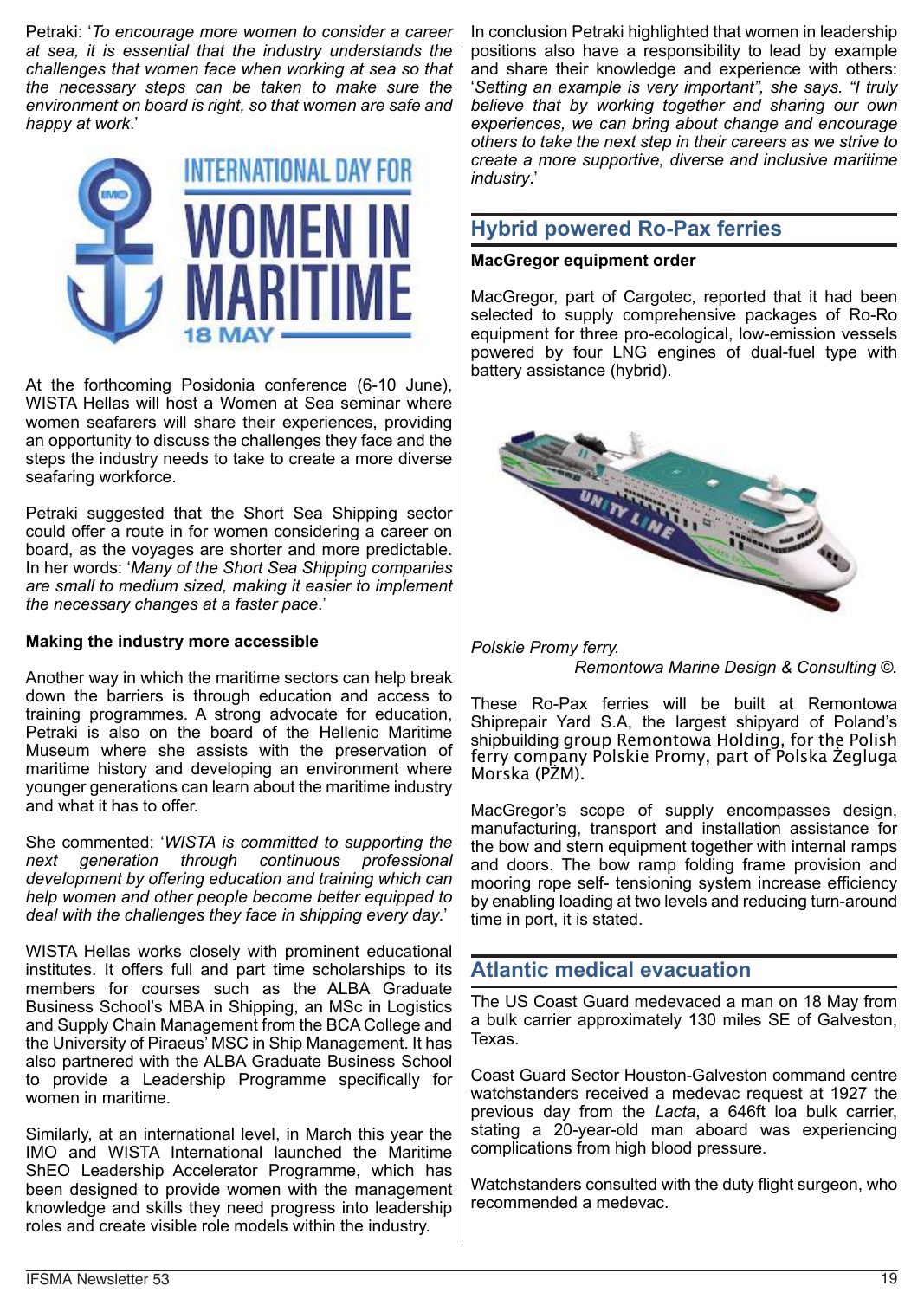Petraki: '*To encourage more women to consider a career at sea, it is essential that the industry understands the challenges that women face when working at sea so that the necessary steps can be taken to make sure the environment on board is right, so that women are safe and happy at work*.'



At the forthcoming Posidonia conference (6-10 June), WISTA Hellas will host a Women at Sea seminar where women seafarers will share their experiences, providing an opportunity to discuss the challenges they face and the steps the industry needs to take to create a more diverse seafaring workforce.

Petraki suggested that the Short Sea Shipping sector could offer a route in for women considering a career on board, as the voyages are shorter and more predictable. In her words: '*Many of the Short Sea Shipping companies are small to medium sized, making it easier to implement the necessary changes at a faster pace*.'

#### **Making the industry more accessible**

Another way in which the maritime sectors can help break down the barriers is through education and access to training programmes. A strong advocate for education, Petraki is also on the board of the Hellenic Maritime Museum where she assists with the preservation of maritime history and developing an environment where younger generations can learn about the maritime industry and what it has to offer.

She commented: '*WISTA is committed to supporting the next generation through continuous professional development by offering education and training which can help women and other people become better equipped to deal with the challenges they face in shipping every day*.'

WISTA Hellas works closely with prominent educational institutes. It offers full and part time scholarships to its members for courses such as the ALBA Graduate Business School's MBA in Shipping, an MSc in Logistics and Supply Chain Management from the BCA College and the University of Piraeus' MSC in Ship Management. It has also partnered with the ALBA Graduate Business School to provide a Leadership Programme specifically for women in maritime.

Similarly, at an international level, in March this year the IMO and WISTA International launched the Maritime ShEO Leadership Accelerator Programme, which has been designed to provide women with the management knowledge and skills they need progress into leadership roles and create visible role models within the industry.

In conclusion Petraki highlighted that women in leadership positions also have a responsibility to lead by example and share their knowledge and experience with others: '*Setting an example is very important", she says. "I truly believe that by working together and sharing our own experiences, we can bring about change and encourage others to take the next step in their careers as we strive to create a more supportive, diverse and inclusive maritime industry*.'

# **Hybrid powered Ro-Pax ferries**

## **MacGregor equipment order**

MacGregor, part of Cargotec, reported that it had been selected to supply comprehensive packages of Ro-Ro equipment for three pro-ecological, low-emission vessels powered by four LNG engines of dual-fuel type with battery assistance (hybrid).



*Polskie Promy ferry.*

*Remontowa Marine Design & Consulting ©.*

These Ro-Pax ferries will be built at Remontowa Shiprepair Yard S.A, the largest shipyard of Poland's shipbuilding group Remontowa Holding, for the Polish ferry company Polskie Promy, part of Polska Żegluga Morska (PŻM).

MacGregor's scope of supply encompasses design, manufacturing, transport and installation assistance for the bow and stern equipment together with internal ramps and doors. The bow ramp folding frame provision and mooring rope self- tensioning system increase efficiency by enabling loading at two levels and reducing turn-around time in port, it is stated.

# **Atlantic medical evacuation**

The US Coast Guard medevaced a man on 18 May from a bulk carrier approximately 130 miles SE of Galveston, Texas.

Coast Guard Sector Houston-Galveston command centre watchstanders received a medevac request at 1927 the previous day from the *Lacta*, a 646ft loa bulk carrier, stating a 20-year-old man aboard was experiencing complications from high blood pressure.

Watchstanders consulted with the duty flight surgeon, who recommended a medevac.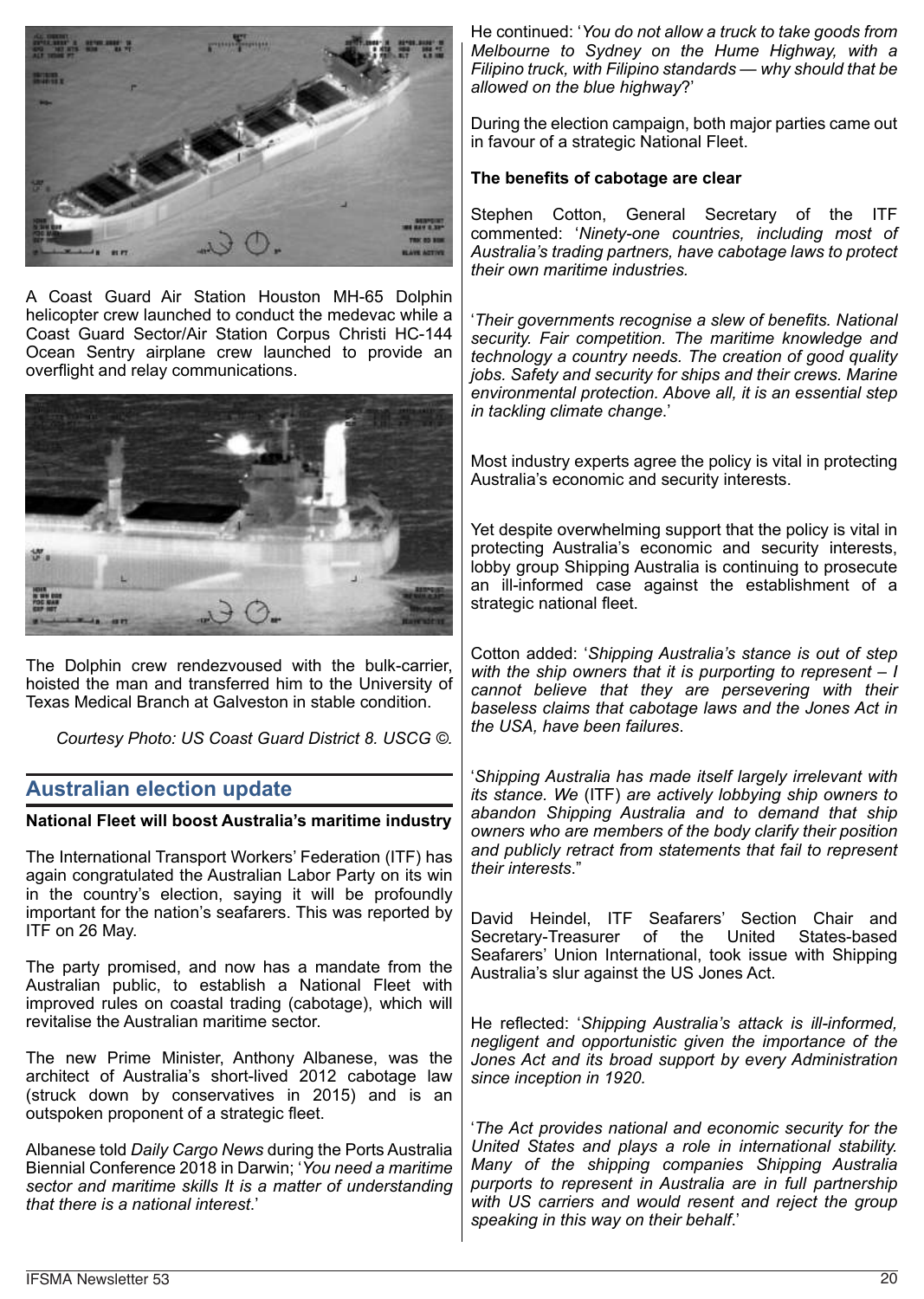

A Coast Guard Air Station Houston MH-65 Dolphin helicopter crew launched to conduct the medevac while a Coast Guard Sector/Air Station Corpus Christi HC-144 Ocean Sentry airplane crew launched to provide an overflight and relay communications.



The Dolphin crew rendezvoused with the bulk-carrier, hoisted the man and transferred him to the University of Texas Medical Branch at Galveston in stable condition.

*Courtesy Photo: US Coast Guard District 8. USCG ©.*

## **Australian election update**

#### **National Fleet will boost Australia's maritime industry**

The International Transport Workers' Federation (ITF) has again congratulated the Australian Labor Party on its win in the country's election, saying it will be profoundly important for the nation's seafarers. This was reported by ITF on 26 May.

The party promised, and now has a mandate from the Australian public, to establish a National Fleet with improved rules on coastal trading (cabotage), which will revitalise the Australian maritime sector.

The new Prime Minister, Anthony Albanese, was the architect of Australia's short-lived 2012 cabotage law (struck down by conservatives in 2015) and is an outspoken proponent of a strategic fleet.

Albanese told *Daily Cargo News* during the Ports Australia Biennial Conference 2018 in Darwin; '*You need a maritime sector and maritime skills It is a matter of understanding that there is a national interest*.'

He continued: '*You do not allow a truck to take goods from Melbourne to Sydney on the Hume Highway, with a Filipino truck, with Filipino standards — why should that be allowed on the blue highway*?'

During the election campaign, both major parties came out in favour of a strategic National Fleet.

#### **The benefits of cabotage are clear**

Stephen Cotton, General Secretary of the ITF commented: '*Ninety-one countries, including most of Australia's trading partners, have cabotage laws to protect their own maritime industries.*

'*Their governments recognise a slew of benefits. National security. Fair competition. The maritime knowledge and technology a country needs. The creation of good quality jobs. Safety and security for ships and their crews. Marine environmental protection. Above all, it is an essential step in tackling climate change*.'

Most industry experts agree the policy is vital in protecting Australia's economic and security interests.

Yet despite overwhelming support that the policy is vital in protecting Australia's economic and security interests, lobby group Shipping Australia is continuing to prosecute an ill-informed case against the establishment of a strategic national fleet.

Cotton added: '*Shipping Australia's stance is out of step with the ship owners that it is purporting to represent – I cannot believe that they are persevering with their baseless claims that cabotage laws and the Jones Act in the USA, have been failures*.

'*Shipping Australia has made itself largely irrelevant with its stance. We* (ITF) *are actively lobbying ship owners to abandon Shipping Australia and to demand that ship owners who are members of the body clarify their position and publicly retract from statements that fail to represent their interests*."

David Heindel, ITF Seafarers' Section Chair and<br>Secretary-Treasurer of the United States-based Secretary-Treasurer Seafarers' Union International, took issue with Shipping Australia's slur against the US Jones Act.

He reflected: '*Shipping Australia's attack is ill-informed, negligent and opportunistic given the importance of the Jones Act and its broad support by every Administration since inception in 1920.*

'*The Act provides national and economic security for the United States and plays a role in international stability. Many of the shipping companies Shipping Australia purports to represent in Australia are in full partnership with US carriers and would resent and reject the group speaking in this way on their behalf*.'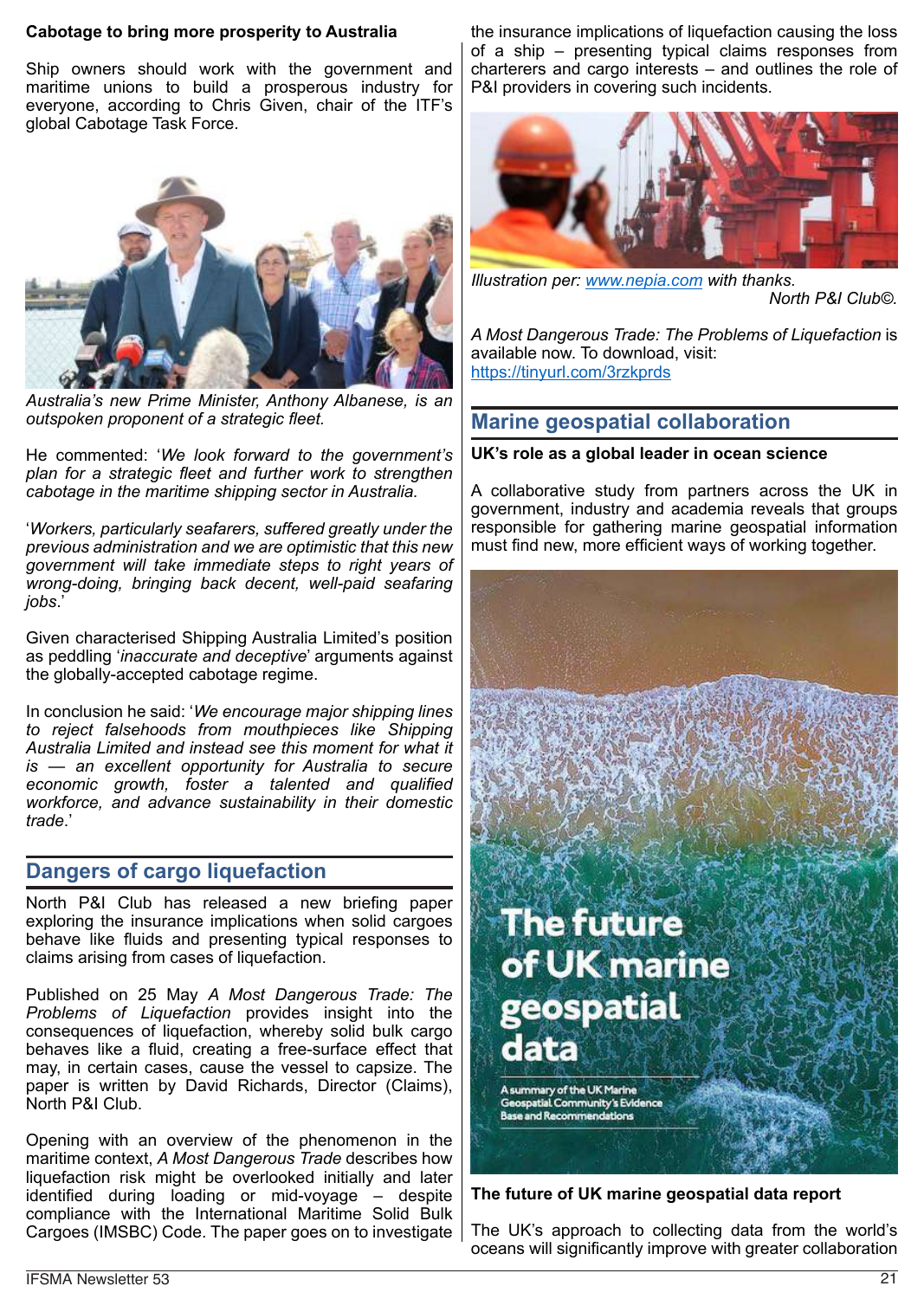#### **Cabotage to bring more prosperity to Australia**

Ship owners should work with the government and maritime unions to build a prosperous industry for everyone, according to Chris Given, chair of the ITF's global Cabotage Task Force.



*Australia's new Prime Minister, Anthony Albanese, is an outspoken proponent of a strategic fleet.*

He commented: '*We look forward to the government's plan for a strategic fleet and further work to strengthen cabotage in the maritime shipping sector in Australia.*

'*Workers, particularly seafarers, suffered greatly under the previous administration and we are optimistic that this new government will take immediate steps to right years of wrong-doing, bringing back decent, well-paid seafaring jobs*.'

Given characterised Shipping Australia Limited's position as peddling '*inaccurate and deceptive*' arguments against the globally-accepted cabotage regime.

In conclusion he said: '*We encourage major shipping lines to reject falsehoods from mouthpieces like Shipping Australia Limited and instead see this moment for what it is — an excellent opportunity for Australia to secure economic growth, foster a talented and qualified workforce, and advance sustainability in their domestic trade*.'

## **Dangers of cargo liquefaction**

North P&I Club has released a new briefing paper exploring the insurance implications when solid cargoes behave like fluids and presenting typical responses to claims arising from cases of liquefaction.

Published on 25 May *A Most Dangerous Trade: The Problems of Liquefaction* provides insight into the consequences of liquefaction, whereby solid bulk cargo behaves like a fluid, creating a free-surface effect that may, in certain cases, cause the vessel to capsize. The paper is written by David Richards, Director (Claims), North P&I Club.

Opening with an overview of the phenomenon in the maritime context, *A Most Dangerous Trade* describes how liquefaction risk might be overlooked initially and later identified during loading or mid-voyage – despite compliance with the International Maritime Solid Bulk Cargoes (IMSBC) Code. The paper goes on to investigate

the insurance implications of liquefaction causing the loss of a ship – presenting typical claims responses from charterers and cargo interests – and outlines the role of P&I providers in covering such incidents.



*Illustration per: www.nepia.com with thanks.*

*North P&I Club©.*

*A Most Dangerous Trade: The Problems of Liquefaction* is available now. To download, visit: https://tinyurl.com/3rzkprds

# **Marine geospatial collaboration**

#### **UK's role as a global leader in ocean science**

A collaborative study from partners across the UK in government, industry and academia reveals that groups responsible for gathering marine geospatial information must find new, more efficient ways of working together.



**The future of UK marine geospatial data report**

The UK's approach to collecting data from the world's oceans will significantly improve with greater collaboration